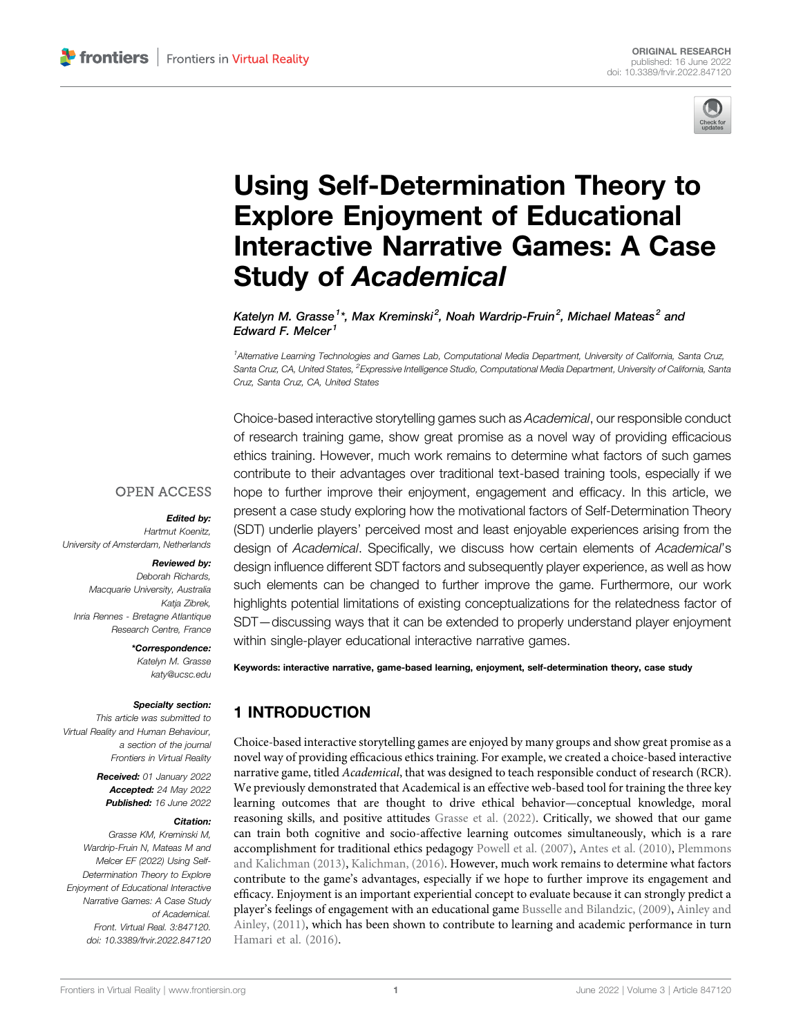

# [Using Self-Determination Theory to](https://www.frontiersin.org/articles/10.3389/frvir.2022.847120/full) [Explore Enjoyment of Educational](https://www.frontiersin.org/articles/10.3389/frvir.2022.847120/full) [Interactive Narrative Games: A Case](https://www.frontiersin.org/articles/10.3389/frvir.2022.847120/full) Study of [Academical](https://www.frontiersin.org/articles/10.3389/frvir.2022.847120/full)

Katelyn M. Grasse  $1^\ast$ . Max Kreminski $^2$ . Noah Wardrip-Fruin $^2$ . Michael Mateas $^2$  and Edward F. Melcer<sup>1</sup>

1 Alternative Learning Technologies and Games Lab, Computational Media Department, University of California, Santa Cruz, Santa Cruz, CA, United States, <sup>2</sup>Expressive Intelligence Studio, Computational Media Department, University of California, Santa Cruz, Santa Cruz, CA, United States

Choice-based interactive storytelling games such as Academical, our responsible conduct of research training game, show great promise as a novel way of providing efficacious ethics training. However, much work remains to determine what factors of such games contribute to their advantages over traditional text-based training tools, especially if we hope to further improve their enjoyment, engagement and efficacy. In this article, we present a case study exploring how the motivational factors of Self-Determination Theory (SDT) underlie players' perceived most and least enjoyable experiences arising from the design of Academical. Specifically, we discuss how certain elements of Academical's design influence different SDT factors and subsequently player experience, as well as how such elements can be changed to further improve the game. Furthermore, our work highlights potential limitations of existing conceptualizations for the relatedness factor of SDT—discussing ways that it can be extended to properly understand player enjoyment within single-player educational interactive narrative games.

### **OPEN ACCESS**

#### Edited by:

Hartmut Koenitz, University of Amsterdam, Netherlands

#### Reviewed by:

Deborah Richards, Macquarie University, Australia Katja Zibrek, Inria Rennes - Bretagne Atlantique Research Centre, France

#### \*Correspondence:

Katelyn M. Grasse [katy@ucsc.edu](mailto:katy@ucsc.edu)

#### Specialty section:

This article was submitted to Virtual Reality and Human Behaviour, a section of the journal Frontiers in Virtual Reality

> Received: 01 January 2022 Accepted: 24 May 2022 Published: 16 June 2022

#### Citation:

Grasse KM, Kreminski M, Wardrip-Fruin N, Mateas M and Melcer EF (2022) Using Self-Determination Theory to Explore Enjoyment of Educational Interactive Narrative Games: A Case Study of Academical. Front. Virtual Real. 3:847120. doi: [10.3389/frvir.2022.847120](https://doi.org/10.3389/frvir.2022.847120)

Keywords: interactive narrative, game-based learning, enjoyment, self-determination theory, case study

# 1 INTRODUCTION

Choice-based interactive storytelling games are enjoyed by many groups and show great promise as a novel way of providing efficacious ethics training. For example, we created a choice-based interactive narrative game, titled Academical, that was designed to teach responsible conduct of research (RCR). We previously demonstrated that Academical is an effective web-based tool for training the three key learning outcomes that are thought to drive ethical behavior—conceptual knowledge, moral reasoning skills, and positive attitudes [Grasse et al. \(2022\).](#page-12-0) Critically, we showed that our game can train both cognitive and socio-affective learning outcomes simultaneously, which is a rare accomplishment for traditional ethics pedagogy [Powell et al. \(2007\)](#page-13-0), [Antes et al. \(2010\)](#page-12-1), [Plemmons](#page-13-1) [and Kalichman \(2013\),](#page-13-1) [Kalichman, \(2016\)](#page-12-2). However, much work remains to determine what factors contribute to the game's advantages, especially if we hope to further improve its engagement and efficacy. Enjoyment is an important experiential concept to evaluate because it can strongly predict a player's feelings of engagement with an educational game [Busselle and Bilandzic, \(2009\),](#page-12-3) [Ainley and](#page-12-4) [Ainley, \(2011\),](#page-12-4) which has been shown to contribute to learning and academic performance in turn [Hamari et al. \(2016\)](#page-12-5).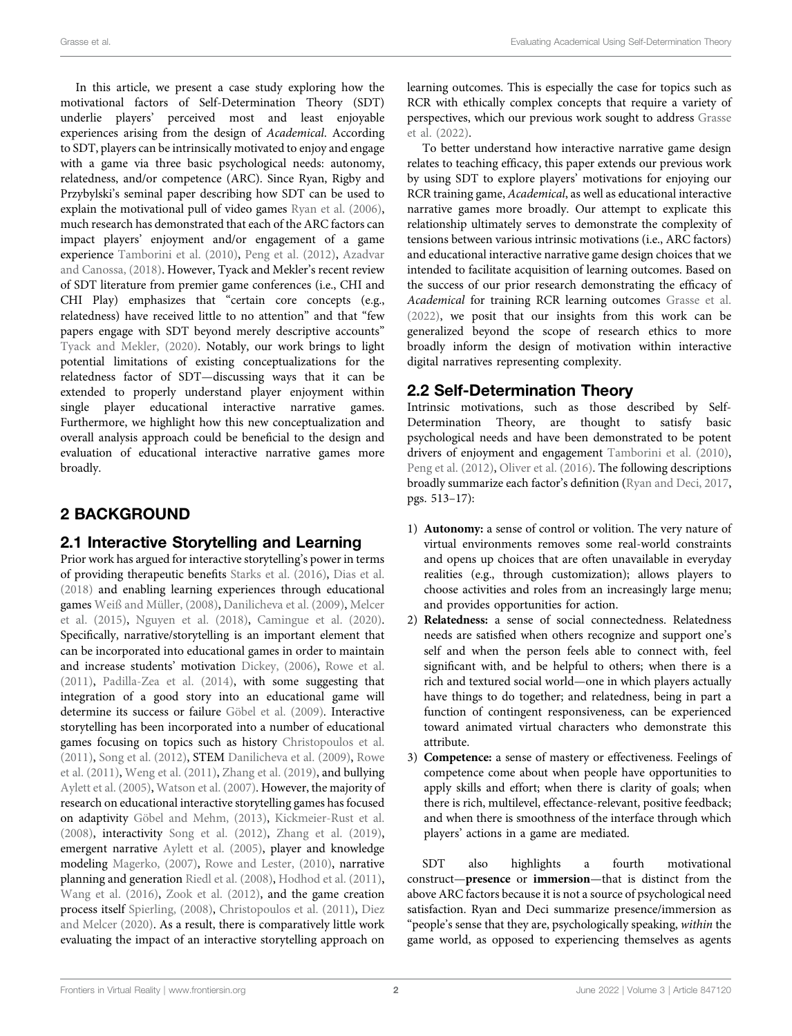In this article, we present a case study exploring how the motivational factors of Self-Determination Theory (SDT) underlie players' perceived most and least enjoyable experiences arising from the design of Academical. According to SDT, players can be intrinsically motivated to enjoy and engage with a game via three basic psychological needs: autonomy, relatedness, and/or competence (ARC). Since Ryan, Rigby and Przybylski's seminal paper describing how SDT can be used to explain the motivational pull of video games [Ryan et al. \(2006\)](#page-13-2), much research has demonstrated that each of the ARC factors can impact players' enjoyment and/or engagement of a game experience [Tamborini et al. \(2010\),](#page-13-3) [Peng et al. \(2012\)](#page-13-4), [Azadvar](#page-12-6) [and Canossa, \(2018\).](#page-12-6) However, Tyack and Mekler's recent review of SDT literature from premier game conferences (i.e., CHI and CHI Play) emphasizes that "certain core concepts (e.g., relatedness) have received little to no attention" and that "few papers engage with SDT beyond merely descriptive accounts" [Tyack and Mekler, \(2020\).](#page-13-5) Notably, our work brings to light potential limitations of existing conceptualizations for the relatedness factor of SDT—discussing ways that it can be extended to properly understand player enjoyment within single player educational interactive narrative games. Furthermore, we highlight how this new conceptualization and overall analysis approach could be beneficial to the design and evaluation of educational interactive narrative games more broadly.

# 2 BACKGROUND

# 2.1 Interactive Storytelling and Learning

Prior work has argued for interactive storytelling's power in terms of providing therapeutic benefits [Starks et al. \(2016\),](#page-13-6) [Dias et al.](#page-12-7) [\(2018\)](#page-12-7) and enabling learning experiences through educational games [Weiß and Müller, \(2008\)](#page-13-7), [Danilicheva et al. \(2009\)](#page-12-8), [Melcer](#page-13-8) [et al. \(2015\)](#page-13-8), [Nguyen et al. \(2018\),](#page-13-9) [Camingue et al. \(2020\)](#page-12-9). Specifically, narrative/storytelling is an important element that can be incorporated into educational games in order to maintain and increase students' motivation [Dickey, \(2006\)](#page-12-10), [Rowe et al.](#page-13-10) [\(2011\)](#page-13-10), [Padilla-Zea et al. \(2014\),](#page-13-11) with some suggesting that integration of a good story into an educational game will determine its success or failure [Göbel et al. \(2009\)](#page-12-11). Interactive storytelling has been incorporated into a number of educational games focusing on topics such as history [Christopoulos et al.](#page-12-12) [\(2011\)](#page-12-12), [Song et al. \(2012\),](#page-13-12) STEM [Danilicheva et al. \(2009\),](#page-12-8) [Rowe](#page-13-10) [et al. \(2011\),](#page-13-10) [Weng et al. \(2011\),](#page-13-13) [Zhang et al. \(2019\),](#page-13-14) and bullying [Aylett et al. \(2005\),](#page-12-13) [Watson et al. \(2007\)](#page-13-15). However, the majority of research on educational interactive storytelling games has focused on adaptivity [Göbel and Mehm, \(2013\),](#page-12-14) [Kickmeier-Rust et al.](#page-12-15) [\(2008\)](#page-12-15), interactivity [Song et al. \(2012\),](#page-13-12) [Zhang et al. \(2019\)](#page-13-14), emergent narrative [Aylett et al. \(2005\)](#page-12-13), player and knowledge modeling [Magerko, \(2007\)](#page-12-16), [Rowe and Lester, \(2010\),](#page-13-16) narrative planning and generation [Riedl et al. \(2008\)](#page-13-17), [Hodhod et al. \(2011\)](#page-12-17), [Wang et al. \(2016\)](#page-13-18), [Zook et al. \(2012\),](#page-13-19) and the game creation process itself [Spierling, \(2008\),](#page-13-20) [Christopoulos et al. \(2011\),](#page-12-12) [Diez](#page-12-18) [and Melcer \(2020\)](#page-12-18). As a result, there is comparatively little work evaluating the impact of an interactive storytelling approach on

learning outcomes. This is especially the case for topics such as RCR with ethically complex concepts that require a variety of perspectives, which our previous work sought to address [Grasse](#page-12-0) [et al. \(2022\)](#page-12-0).

To better understand how interactive narrative game design relates to teaching efficacy, this paper extends our previous work by using SDT to explore players' motivations for enjoying our RCR training game, Academical, as well as educational interactive narrative games more broadly. Our attempt to explicate this relationship ultimately serves to demonstrate the complexity of tensions between various intrinsic motivations (i.e., ARC factors) and educational interactive narrative game design choices that we intended to facilitate acquisition of learning outcomes. Based on the success of our prior research demonstrating the efficacy of Academical for training RCR learning outcomes [Grasse et al.](#page-12-0) [\(2022\),](#page-12-0) we posit that our insights from this work can be generalized beyond the scope of research ethics to more broadly inform the design of motivation within interactive digital narratives representing complexity.

# 2.2 Self-Determination Theory

Intrinsic motivations, such as those described by Self-Determination Theory, are thought to satisfy basic psychological needs and have been demonstrated to be potent drivers of enjoyment and engagement [Tamborini et al. \(2010\),](#page-13-3) [Peng et al. \(2012\)](#page-13-4), [Oliver et al. \(2016\).](#page-13-21) The following descriptions broadly summarize each factor's definition ([Ryan and Deci, 2017,](#page-13-22) pgs. 513–17):

- 1) Autonomy: a sense of control or volition. The very nature of virtual environments removes some real-world constraints and opens up choices that are often unavailable in everyday realities (e.g., through customization); allows players to choose activities and roles from an increasingly large menu; and provides opportunities for action.
- 2) Relatedness: a sense of social connectedness. Relatedness needs are satisfied when others recognize and support one's self and when the person feels able to connect with, feel significant with, and be helpful to others; when there is a rich and textured social world—one in which players actually have things to do together; and relatedness, being in part a function of contingent responsiveness, can be experienced toward animated virtual characters who demonstrate this attribute.
- 3) Competence: a sense of mastery or effectiveness. Feelings of competence come about when people have opportunities to apply skills and effort; when there is clarity of goals; when there is rich, multilevel, effectance-relevant, positive feedback; and when there is smoothness of the interface through which players' actions in a game are mediated.

SDT also highlights a fourth motivational construct—presence or immersion—that is distinct from the above ARC factors because it is not a source of psychological need satisfaction. Ryan and Deci summarize presence/immersion as "people's sense that they are, psychologically speaking, within the game world, as opposed to experiencing themselves as agents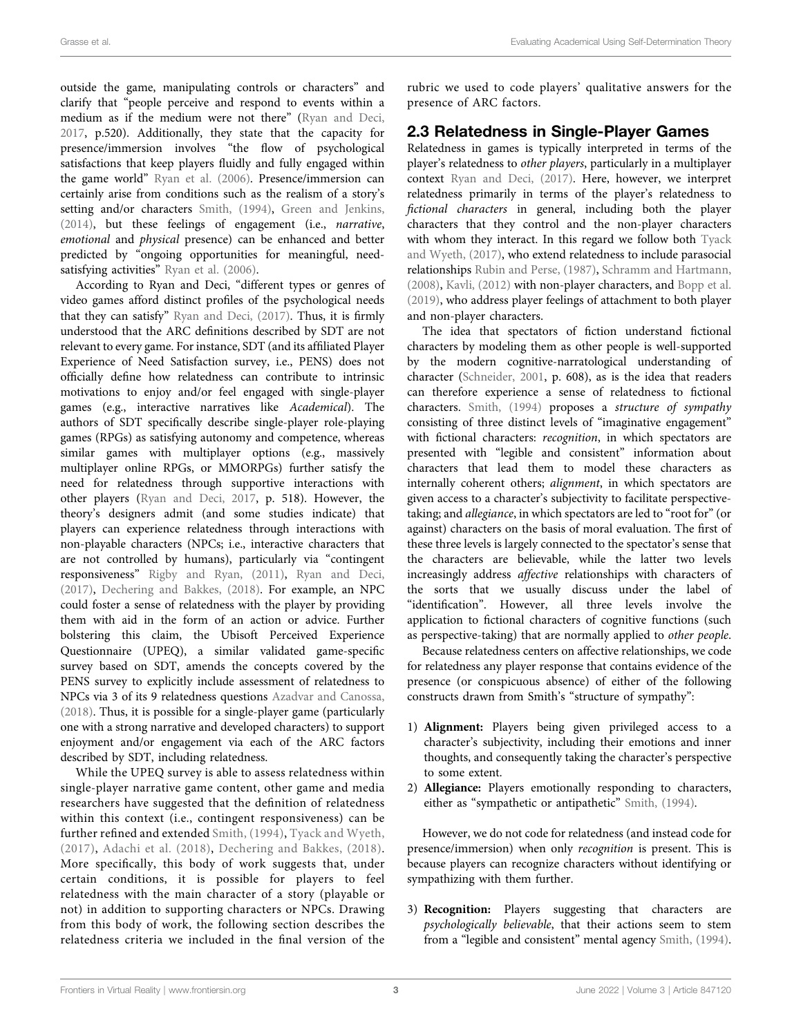outside the game, manipulating controls or characters" and clarify that "people perceive and respond to events within a medium as if the medium were not there" ([Ryan and Deci,](#page-13-22) [2017](#page-13-22), p.520). Additionally, they state that the capacity for presence/immersion involves "the flow of psychological satisfactions that keep players fluidly and fully engaged within the game world" [Ryan et al. \(2006\)](#page-13-2). Presence/immersion can certainly arise from conditions such as the realism of a story's setting and/or characters [Smith, \(1994\)](#page-13-23), [Green and Jenkins,](#page-12-19) [\(2014\)](#page-12-19), but these feelings of engagement (i.e., narrative, emotional and physical presence) can be enhanced and better predicted by "ongoing opportunities for meaningful, need-satisfying activities" [Ryan et al. \(2006\).](#page-13-2)

According to Ryan and Deci, "different types or genres of video games afford distinct profiles of the psychological needs that they can satisfy" [Ryan and Deci, \(2017\)](#page-13-22). Thus, it is firmly understood that the ARC definitions described by SDT are not relevant to every game. For instance, SDT (and its affiliated Player Experience of Need Satisfaction survey, i.e., PENS) does not officially define how relatedness can contribute to intrinsic motivations to enjoy and/or feel engaged with single-player games (e.g., interactive narratives like Academical). The authors of SDT specifically describe single-player role-playing games (RPGs) as satisfying autonomy and competence, whereas similar games with multiplayer options (e.g., massively multiplayer online RPGs, or MMORPGs) further satisfy the need for relatedness through supportive interactions with other players ([Ryan and Deci, 2017](#page-13-22), p. 518). However, the theory's designers admit (and some studies indicate) that players can experience relatedness through interactions with non-playable characters (NPCs; i.e., interactive characters that are not controlled by humans), particularly via "contingent responsiveness" [Rigby and Ryan, \(2011\),](#page-13-24) [Ryan and Deci,](#page-13-22) [\(2017\)](#page-13-22), [Dechering and Bakkes, \(2018\).](#page-12-20) For example, an NPC could foster a sense of relatedness with the player by providing them with aid in the form of an action or advice. Further bolstering this claim, the Ubisoft Perceived Experience Questionnaire (UPEQ), a similar validated game-specific survey based on SDT, amends the concepts covered by the PENS survey to explicitly include assessment of relatedness to NPCs via 3 of its 9 relatedness questions [Azadvar and Canossa,](#page-12-6) [\(2018\)](#page-12-6). Thus, it is possible for a single-player game (particularly one with a strong narrative and developed characters) to support enjoyment and/or engagement via each of the ARC factors described by SDT, including relatedness.

While the UPEQ survey is able to assess relatedness within single-player narrative game content, other game and media researchers have suggested that the definition of relatedness within this context (i.e., contingent responsiveness) can be further refined and extended [Smith, \(1994\),](#page-13-23) [Tyack and Wyeth,](#page-13-25) [\(2017\)](#page-13-25), [Adachi et al. \(2018\),](#page-12-21) [Dechering and Bakkes, \(2018\)](#page-12-20). More specifically, this body of work suggests that, under certain conditions, it is possible for players to feel relatedness with the main character of a story (playable or not) in addition to supporting characters or NPCs. Drawing from this body of work, the following section describes the relatedness criteria we included in the final version of the

rubric we used to code players' qualitative answers for the presence of ARC factors.

### 2.3 Relatedness in Single-Player Games

Relatedness in games is typically interpreted in terms of the player's relatedness to other players, particularly in a multiplayer context [Ryan and Deci, \(2017\).](#page-13-22) Here, however, we interpret relatedness primarily in terms of the player's relatedness to fictional characters in general, including both the player characters that they control and the non-player characters with whom they interact. In this regard we follow both [Tyack](#page-13-25) [and Wyeth, \(2017\)](#page-13-25), who extend relatedness to include parasocial relationships [Rubin and Perse, \(1987\)](#page-13-26), [Schramm and Hartmann,](#page-13-27) [\(2008\),](#page-13-27) [Kavli, \(2012\)](#page-12-22) with non-player characters, and [Bopp et al.](#page-12-23) [\(2019\),](#page-12-23) who address player feelings of attachment to both player and non-player characters.

The idea that spectators of fiction understand fictional characters by modeling them as other people is well-supported by the modern cognitive-narratological understanding of character ([Schneider, 2001](#page-13-28), p. 608), as is the idea that readers can therefore experience a sense of relatedness to fictional characters. [Smith, \(1994\)](#page-13-23) proposes a structure of sympathy consisting of three distinct levels of "imaginative engagement" with fictional characters: recognition, in which spectators are presented with "legible and consistent" information about characters that lead them to model these characters as internally coherent others; alignment, in which spectators are given access to a character's subjectivity to facilitate perspectivetaking; and allegiance, in which spectators are led to "root for" (or against) characters on the basis of moral evaluation. The first of these three levels is largely connected to the spectator's sense that the characters are believable, while the latter two levels increasingly address affective relationships with characters of the sorts that we usually discuss under the label of "identification". However, all three levels involve the application to fictional characters of cognitive functions (such as perspective-taking) that are normally applied to other people.

Because relatedness centers on affective relationships, we code for relatedness any player response that contains evidence of the presence (or conspicuous absence) of either of the following constructs drawn from Smith's "structure of sympathy":

- 1) Alignment: Players being given privileged access to a character's subjectivity, including their emotions and inner thoughts, and consequently taking the character's perspective to some extent.
- 2) Allegiance: Players emotionally responding to characters, either as "sympathetic or antipathetic" [Smith, \(1994\)](#page-13-23).

However, we do not code for relatedness (and instead code for presence/immersion) when only recognition is present. This is because players can recognize characters without identifying or sympathizing with them further.

3) Recognition: Players suggesting that characters are psychologically believable, that their actions seem to stem from a "legible and consistent" mental agency [Smith, \(1994\).](#page-13-23)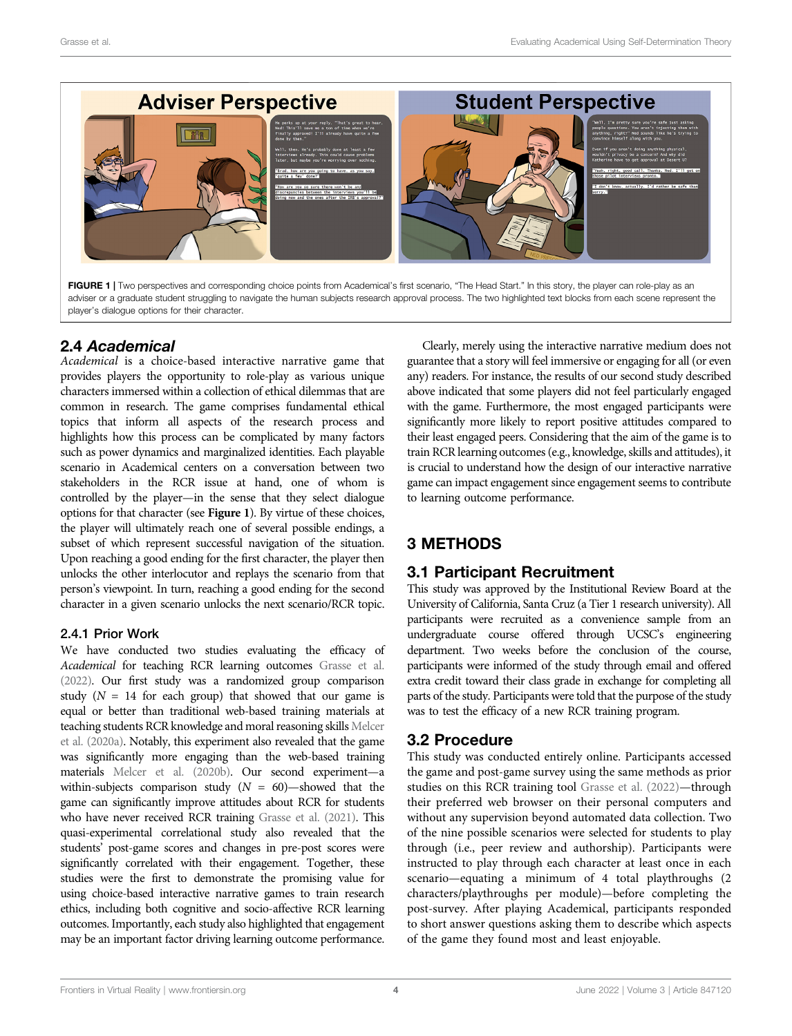

<span id="page-3-0"></span>FIGURE 1 | Two perspectives and corresponding choice points from Academical's first scenario, "The Head Start." In this story, the player can role-play as an adviser or a graduate student struggling to navigate the human subjects research approval process. The two highlighted text blocks from each scene represent the player's dialogue options for their character.

# 2.4 Academical

Academical is a choice-based interactive narrative game that provides players the opportunity to role-play as various unique characters immersed within a collection of ethical dilemmas that are common in research. The game comprises fundamental ethical topics that inform all aspects of the research process and highlights how this process can be complicated by many factors such as power dynamics and marginalized identities. Each playable scenario in Academical centers on a conversation between two stakeholders in the RCR issue at hand, one of whom is controlled by the player—in the sense that they select dialogue options for that character (see [Figure 1](#page-3-0)). By virtue of these choices, the player will ultimately reach one of several possible endings, a subset of which represent successful navigation of the situation. Upon reaching a good ending for the first character, the player then unlocks the other interlocutor and replays the scenario from that person's viewpoint. In turn, reaching a good ending for the second character in a given scenario unlocks the next scenario/RCR topic.

# 2.4.1 Prior Work

We have conducted two studies evaluating the efficacy of Academical for teaching RCR learning outcomes [Grasse et al.](#page-12-0) [\(2022\).](#page-12-0) Our first study was a randomized group comparison study  $(N = 14$  for each group) that showed that our game is equal or better than traditional web-based training materials at teaching students RCR knowledge and moral reasoning skills [Melcer](#page-12-24) [et al. \(2020a\).](#page-12-24) Notably, this experiment also revealed that the game was significantly more engaging than the web-based training materials [Melcer et al. \(2020b\)](#page-13-29). Our second experiment—a within-subjects comparison study  $(N = 60)$ —showed that the game can significantly improve attitudes about RCR for students who have never received RCR training [Grasse et al. \(2021\)](#page-12-25). This quasi-experimental correlational study also revealed that the students' post-game scores and changes in pre-post scores were significantly correlated with their engagement. Together, these studies were the first to demonstrate the promising value for using choice-based interactive narrative games to train research ethics, including both cognitive and socio-affective RCR learning outcomes. Importantly, each study also highlighted that engagement may be an important factor driving learning outcome performance.

Clearly, merely using the interactive narrative medium does not guarantee that a story will feel immersive or engaging for all (or even any) readers. For instance, the results of our second study described above indicated that some players did not feel particularly engaged with the game. Furthermore, the most engaged participants were significantly more likely to report positive attitudes compared to their least engaged peers. Considering that the aim of the game is to train RCR learning outcomes (e.g., knowledge, skills and attitudes), it is crucial to understand how the design of our interactive narrative game can impact engagement since engagement seems to contribute to learning outcome performance.

# 3 METHODS

# 3.1 Participant Recruitment

This study was approved by the Institutional Review Board at the University of California, Santa Cruz (a Tier 1 research university). All participants were recruited as a convenience sample from an undergraduate course offered through UCSC's engineering department. Two weeks before the conclusion of the course, participants were informed of the study through email and offered extra credit toward their class grade in exchange for completing all parts of the study. Participants were told that the purpose of the study was to test the efficacy of a new RCR training program.

# 3.2 Procedure

This study was conducted entirely online. Participants accessed the game and post-game survey using the same methods as prior studies on this RCR training tool [Grasse et al. \(2022\)](#page-12-0)—through their preferred web browser on their personal computers and without any supervision beyond automated data collection. Two of the nine possible scenarios were selected for students to play through (i.e., peer review and authorship). Participants were instructed to play through each character at least once in each scenario—equating a minimum of 4 total playthroughs (2 characters/playthroughs per module)—before completing the post-survey. After playing Academical, participants responded to short answer questions asking them to describe which aspects of the game they found most and least enjoyable.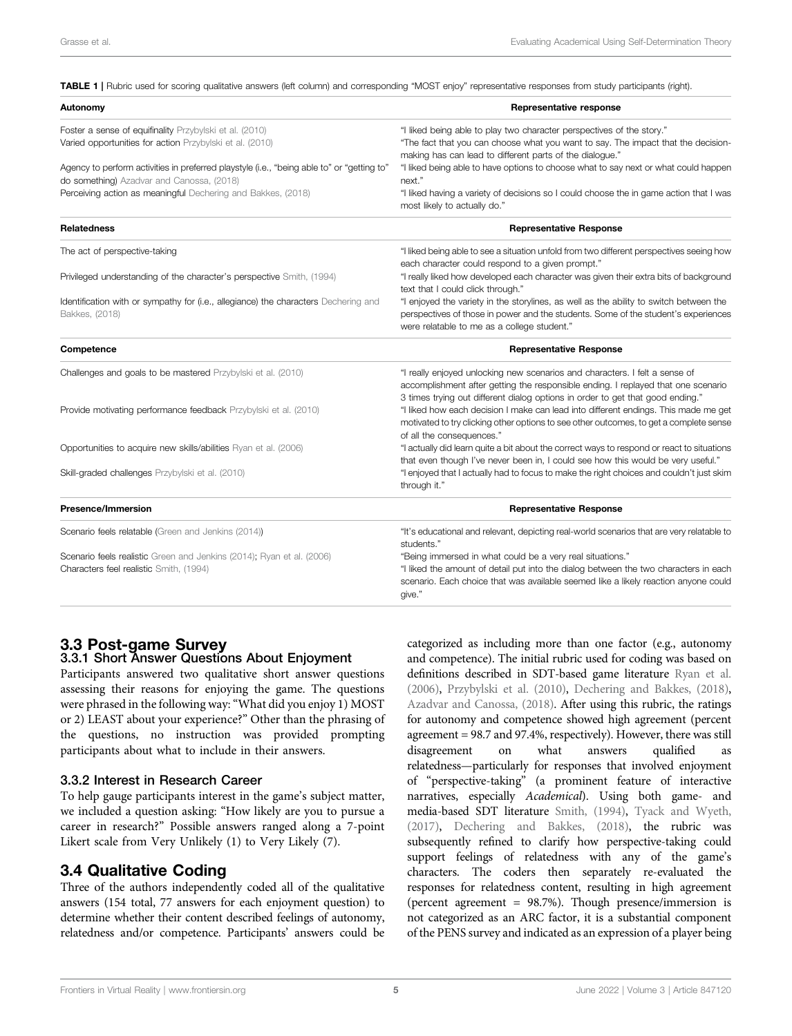<span id="page-4-0"></span>TABLE 1 | Rubric used for scoring qualitative answers (left column) and corresponding "MOST enjoy" representative responses from study participants (right).

| Autonomy                                                                                                                                | Representative response                                                                                                                                                                                                                            |
|-----------------------------------------------------------------------------------------------------------------------------------------|----------------------------------------------------------------------------------------------------------------------------------------------------------------------------------------------------------------------------------------------------|
| Foster a sense of equifinality Przybylski et al. (2010)                                                                                 | "I liked being able to play two character perspectives of the story."                                                                                                                                                                              |
| Varied opportunities for action Przybylski et al. (2010)                                                                                | "The fact that you can choose what you want to say. The impact that the decision-<br>making has can lead to different parts of the dialogue."                                                                                                      |
| Agency to perform activities in preferred playstyle (i.e., "being able to" or "getting to"<br>do something) Azadvar and Canossa, (2018) | "I liked being able to have options to choose what to say next or what could happen<br>next."                                                                                                                                                      |
| Perceiving action as meaningful Dechering and Bakkes, (2018)                                                                            | "I liked having a variety of decisions so I could choose the in game action that I was<br>most likely to actually do."                                                                                                                             |
| <b>Relatedness</b>                                                                                                                      | <b>Representative Response</b>                                                                                                                                                                                                                     |
| The act of perspective-taking                                                                                                           | "I liked being able to see a situation unfold from two different perspectives seeing how<br>each character could respond to a given prompt."                                                                                                       |
| Privileged understanding of the character's perspective Smith, (1994)                                                                   | "I really liked how developed each character was given their extra bits of background<br>text that I could click through."                                                                                                                         |
| Identification with or sympathy for (i.e., allegiance) the characters Dechering and<br>Bakkes, (2018)                                   | "I enjoyed the variety in the storylines, as well as the ability to switch between the<br>perspectives of those in power and the students. Some of the student's experiences<br>were relatable to me as a college student."                        |
| Competence                                                                                                                              | <b>Representative Response</b>                                                                                                                                                                                                                     |
| Challenges and goals to be mastered Przybylski et al. (2010)                                                                            | "I really enjoyed unlocking new scenarios and characters. I felt a sense of<br>accomplishment after getting the responsible ending. I replayed that one scenario<br>3 times trying out different dialog options in order to get that good ending." |
| Provide motivating performance feedback Przybylski et al. (2010)                                                                        | "I liked how each decision I make can lead into different endings. This made me get<br>motivated to try clicking other options to see other outcomes, to get a complete sense<br>of all the consequences."                                         |
| Opportunities to acquire new skills/abilities Ryan et al. (2006)                                                                        | "I actually did learn quite a bit about the correct ways to respond or react to situations<br>that even though I've never been in, I could see how this would be very useful."                                                                     |
| Skill-graded challenges Przybylski et al. (2010)                                                                                        | "I enjoyed that I actually had to focus to make the right choices and couldn't just skim<br>through it."                                                                                                                                           |
| <b>Presence/Immersion</b>                                                                                                               | <b>Representative Response</b>                                                                                                                                                                                                                     |
| Scenario feels relatable (Green and Jenkins (2014))                                                                                     | "It's educational and relevant, depicting real-world scenarios that are very relatable to<br>students."                                                                                                                                            |
| Scenario feels realistic Green and Jenkins (2014); Ryan et al. (2006)                                                                   | "Being immersed in what could be a very real situations."                                                                                                                                                                                          |
| Characters feel realistic Smith, (1994)                                                                                                 | "I liked the amount of detail put into the dialog between the two characters in each<br>scenario. Each choice that was available seemed like a likely reaction anyone could<br>give."                                                              |

#### 3.3 Post-game Survey 3.3.1 Short Answer Questions About Enjoyment

Participants answered two qualitative short answer questions assessing their reasons for enjoying the game. The questions were phrased in the following way:"What did you enjoy 1) MOST or 2) LEAST about your experience?" Other than the phrasing of the questions, no instruction was provided prompting participants about what to include in their answers.

#### 3.3.2 Interest in Research Career

To help gauge participants interest in the game's subject matter, we included a question asking: "How likely are you to pursue a career in research?" Possible answers ranged along a 7-point Likert scale from Very Unlikely (1) to Very Likely (7).

# 3.4 Qualitative Coding

Three of the authors independently coded all of the qualitative answers (154 total, 77 answers for each enjoyment question) to determine whether their content described feelings of autonomy, relatedness and/or competence. Participants' answers could be categorized as including more than one factor (e.g., autonomy and competence). The initial rubric used for coding was based on definitions described in SDT-based game literature [Ryan et al.](#page-13-2) [\(2006\)](#page-13-2), [Przybylski et al. \(2010\),](#page-13-30) [Dechering and Bakkes, \(2018\),](#page-12-20) [Azadvar and Canossa, \(2018\)](#page-12-6). After using this rubric, the ratings for autonomy and competence showed high agreement (percent agreement = 98.7 and 97.4%, respectively). However, there was still disagreement on what answers qualified as relatedness—particularly for responses that involved enjoyment of "perspective-taking" (a prominent feature of interactive narratives, especially Academical). Using both game- and media-based SDT literature [Smith, \(1994\)](#page-13-23), [Tyack and Wyeth,](#page-13-25) [\(2017\)](#page-13-25), [Dechering and Bakkes, \(2018\),](#page-12-20) the rubric was subsequently refined to clarify how perspective-taking could support feelings of relatedness with any of the game's characters. The coders then separately re-evaluated the responses for relatedness content, resulting in high agreement (percent agreement = 98.7%). Though presence/immersion is not categorized as an ARC factor, it is a substantial component of the PENS survey and indicated as an expression of a player being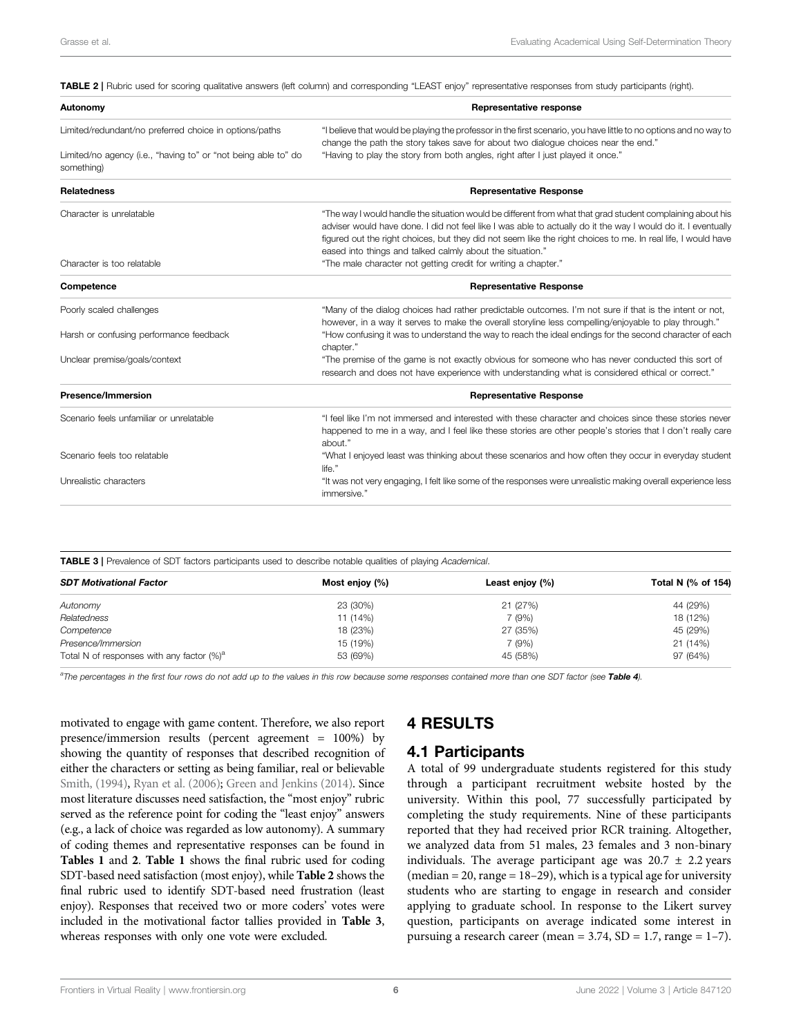<span id="page-5-0"></span>

| TABLE 2   Rubric used for scoring qualitative answers (left column) and corresponding "LEAST enjoy" representative responses from study participants (right). |                                                                                                                                                                                                         |  |
|---------------------------------------------------------------------------------------------------------------------------------------------------------------|---------------------------------------------------------------------------------------------------------------------------------------------------------------------------------------------------------|--|
| Autonomy                                                                                                                                                      | Representative response                                                                                                                                                                                 |  |
| Limited/redundant/no preferred choice in options/paths                                                                                                        | "I believe that would be playing the professor in the first scenario, you have little to no options and no way to<br>change the path the story takes save for about two dialogue choices near the end." |  |
| Limited/no agency (i.e., "having to" or "not being able to" do<br>something)                                                                                  | "Having to play the story from both angles, right after I just played it once."                                                                                                                         |  |
| <b>Relatedness</b>                                                                                                                                            | <b>Representative Response</b>                                                                                                                                                                          |  |
| Character is unrelatable                                                                                                                                      | "The way I would handle the situation would be different from what that grad student complaining about his                                                                                              |  |
|                                                                                                                                                               | adviser would have done. I did not feel like I was able to actually do it the way I would do it. I eventually                                                                                           |  |
|                                                                                                                                                               | figured out the right choices, but they did not seem like the right choices to me. In real life, I would have                                                                                           |  |
|                                                                                                                                                               | eased into things and talked calmly about the situation."                                                                                                                                               |  |
| Character is too relatable                                                                                                                                    | "The male character not getting credit for writing a chapter."                                                                                                                                          |  |
| Competence                                                                                                                                                    | <b>Representative Response</b>                                                                                                                                                                          |  |
| Poorly scaled challenges                                                                                                                                      | "Many of the dialog choices had rather predictable outcomes. I'm not sure if that is the intent or not,                                                                                                 |  |
|                                                                                                                                                               | however, in a way it serves to make the overall storyline less compelling/enjoyable to play through."                                                                                                   |  |
| Harsh or confusing performance feedback                                                                                                                       | "How confusing it was to understand the way to reach the ideal endings for the second character of each<br>chapter."                                                                                    |  |
| Unclear premise/goals/context                                                                                                                                 | "The premise of the game is not exactly obvious for someone who has never conducted this sort of<br>research and does not have experience with understanding what is considered ethical or correct."    |  |
| <b>Presence/Immersion</b>                                                                                                                                     | <b>Representative Response</b>                                                                                                                                                                          |  |
| Scenario feels unfamiliar or unrelatable                                                                                                                      | "I feel like I'm not immersed and interested with these character and choices since these stories never                                                                                                 |  |
|                                                                                                                                                               | happened to me in a way, and I feel like these stories are other people's stories that I don't really care<br>about."                                                                                   |  |
| Scenario feels too relatable                                                                                                                                  | "What I enjoyed least was thinking about these scenarios and how often they occur in everyday student<br>life."                                                                                         |  |
| Unrealistic characters                                                                                                                                        | "It was not very engaging, I felt like some of the responses were unrealistic making overall experience less                                                                                            |  |

<span id="page-5-1"></span>**TABLE 3** | Prevalence of SDT factors participants used to describe notable qualities of playing Academical.

| <b>SDT Motivational Factor</b>                | Most enjoy (%) | Least enjoy (%) | Total N (% of 154) |
|-----------------------------------------------|----------------|-----------------|--------------------|
| Autonomy                                      | 23 (30%)       | 21(27%)         | 44 (29%)           |
| Relatedness                                   | 11 (14%)       | 7(9%)           | 18 (12%)           |
| Competence                                    | 18 (23%)       | 27 (35%)        | 45 (29%)           |
| Presence/Immersion                            | 15 (19%)       | 7(9%)           | 21 (14%)           |
| Total N of responses with any factor $(\%)^a$ | 53 (69%)       | 45 (58%)        | 97 (64%)           |
|                                               |                |                 |                    |

<sup>a</sup>The percentages in the first four rows do not add up to the values in this row because some responses contained more than one SDT factor (see [Table 4](#page-6-0)).

immersive."

motivated to engage with game content. Therefore, we also report presence/immersion results (percent agreement = 100%) by showing the quantity of responses that described recognition of either the characters or setting as being familiar, real or believable [Smith, \(1994\),](#page-13-23) [Ryan et al. \(2006\);](#page-13-2) [Green and Jenkins \(2014\)](#page-12-19). Since most literature discusses need satisfaction, the "most enjoy" rubric served as the reference point for coding the "least enjoy" answers (e.g., a lack of choice was regarded as low autonomy). A summary of coding themes and representative responses can be found in [Tables 1](#page-4-0) and [2](#page-5-0). [Table 1](#page-4-0) shows the final rubric used for coding SDT-based need satisfaction (most enjoy), while [Table 2](#page-5-0) shows the final rubric used to identify SDT-based need frustration (least enjoy). Responses that received two or more coders' votes were included in the motivational factor tallies provided in [Table 3](#page-5-1), whereas responses with only one vote were excluded.

# 4 RESULTS

### 4.1 Participants

A total of 99 undergraduate students registered for this study through a participant recruitment website hosted by the university. Within this pool, 77 successfully participated by completing the study requirements. Nine of these participants reported that they had received prior RCR training. Altogether, we analyzed data from 51 males, 23 females and 3 non-binary individuals. The average participant age was  $20.7 \pm 2.2$  years  $(median = 20, range = 18-29)$ , which is a typical age for university students who are starting to engage in research and consider applying to graduate school. In response to the Likert survey question, participants on average indicated some interest in pursuing a research career (mean =  $3.74$ , SD = 1.7, range = 1-7).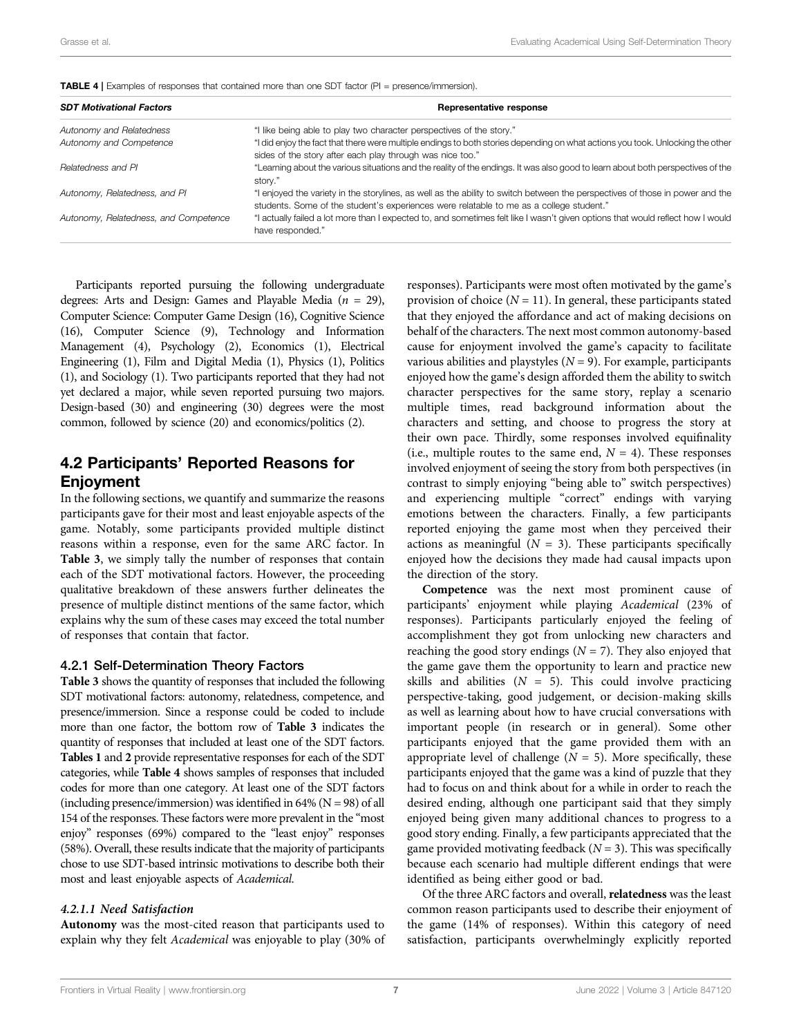| <b>SDT Motivational Factors</b>       | Representative response                                                                                                                                                                                                  |
|---------------------------------------|--------------------------------------------------------------------------------------------------------------------------------------------------------------------------------------------------------------------------|
| Autonomy and Relatedness              | "I like being able to play two character perspectives of the story."                                                                                                                                                     |
| Autonomy and Competence               | "I did enjoy the fact that there were multiple endings to both stories depending on what actions you took. Unlocking the other<br>sides of the story after each play through was nice too."                              |
| Relatedness and PI                    | "Learning about the various situations and the reality of the endings. It was also good to learn about both perspectives of the<br>story."                                                                               |
| Autonomy, Relatedness, and PI         | "I enjoyed the variety in the storylines, as well as the ability to switch between the perspectives of those in power and the<br>students. Some of the student's experiences were relatable to me as a college student." |
| Autonomy, Relatedness, and Competence | "I actually failed a lot more than I expected to, and sometimes felt like I wasn't given options that would reflect how I would<br>have responded."                                                                      |

<span id="page-6-0"></span>TABLE 4 | Examples of responses that contained more than one SDT factor (PI = presence/immersion).

Participants reported pursuing the following undergraduate degrees: Arts and Design: Games and Playable Media ( $n = 29$ ), Computer Science: Computer Game Design (16), Cognitive Science (16), Computer Science (9), Technology and Information Management (4), Psychology (2), Economics (1), Electrical Engineering (1), Film and Digital Media (1), Physics (1), Politics (1), and Sociology (1). Two participants reported that they had not yet declared a major, while seven reported pursuing two majors. Design-based (30) and engineering (30) degrees were the most common, followed by science (20) and economics/politics (2).

# 4.2 Participants' Reported Reasons for Enjoyment

In the following sections, we quantify and summarize the reasons participants gave for their most and least enjoyable aspects of the game. Notably, some participants provided multiple distinct reasons within a response, even for the same ARC factor. In [Table 3](#page-5-1), we simply tally the number of responses that contain each of the SDT motivational factors. However, the proceeding qualitative breakdown of these answers further delineates the presence of multiple distinct mentions of the same factor, which explains why the sum of these cases may exceed the total number of responses that contain that factor.

#### 4.2.1 Self-Determination Theory Factors

[Table 3](#page-5-1) shows the quantity of responses that included the following SDT motivational factors: autonomy, relatedness, competence, and presence/immersion. Since a response could be coded to include more than one factor, the bottom row of [Table 3](#page-5-1) indicates the quantity of responses that included at least one of the SDT factors. [Tables 1](#page-4-0) and [2](#page-5-0) provide representative responses for each of the SDT categories, while [Table 4](#page-6-0) shows samples of responses that included codes for more than one category. At least one of the SDT factors (including presence/immersion) was identified in  $64\%$  (N = 98) of all 154 of the responses. These factors were more prevalent in the "most enjoy" responses (69%) compared to the "least enjoy" responses (58%). Overall, these results indicate that the majority of participants chose to use SDT-based intrinsic motivations to describe both their most and least enjoyable aspects of Academical.

#### 4.2.1.1 Need Satisfaction

Autonomy was the most-cited reason that participants used to explain why they felt Academical was enjoyable to play (30% of responses). Participants were most often motivated by the game's provision of choice ( $N = 11$ ). In general, these participants stated that they enjoyed the affordance and act of making decisions on behalf of the characters. The next most common autonomy-based cause for enjoyment involved the game's capacity to facilitate various abilities and playstyles ( $N = 9$ ). For example, participants enjoyed how the game's design afforded them the ability to switch character perspectives for the same story, replay a scenario multiple times, read background information about the characters and setting, and choose to progress the story at their own pace. Thirdly, some responses involved equifinality (i.e., multiple routes to the same end,  $N = 4$ ). These responses involved enjoyment of seeing the story from both perspectives (in contrast to simply enjoying "being able to" switch perspectives) and experiencing multiple "correct" endings with varying emotions between the characters. Finally, a few participants reported enjoying the game most when they perceived their actions as meaningful  $(N = 3)$ . These participants specifically enjoyed how the decisions they made had causal impacts upon the direction of the story.

Competence was the next most prominent cause of participants' enjoyment while playing Academical (23% of responses). Participants particularly enjoyed the feeling of accomplishment they got from unlocking new characters and reaching the good story endings  $(N = 7)$ . They also enjoyed that the game gave them the opportunity to learn and practice new skills and abilities ( $N = 5$ ). This could involve practicing perspective-taking, good judgement, or decision-making skills as well as learning about how to have crucial conversations with important people (in research or in general). Some other participants enjoyed that the game provided them with an appropriate level of challenge  $(N = 5)$ . More specifically, these participants enjoyed that the game was a kind of puzzle that they had to focus on and think about for a while in order to reach the desired ending, although one participant said that they simply enjoyed being given many additional chances to progress to a good story ending. Finally, a few participants appreciated that the game provided motivating feedback ( $N = 3$ ). This was specifically because each scenario had multiple different endings that were identified as being either good or bad.

Of the three ARC factors and overall, relatedness was the least common reason participants used to describe their enjoyment of the game (14% of responses). Within this category of need satisfaction, participants overwhelmingly explicitly reported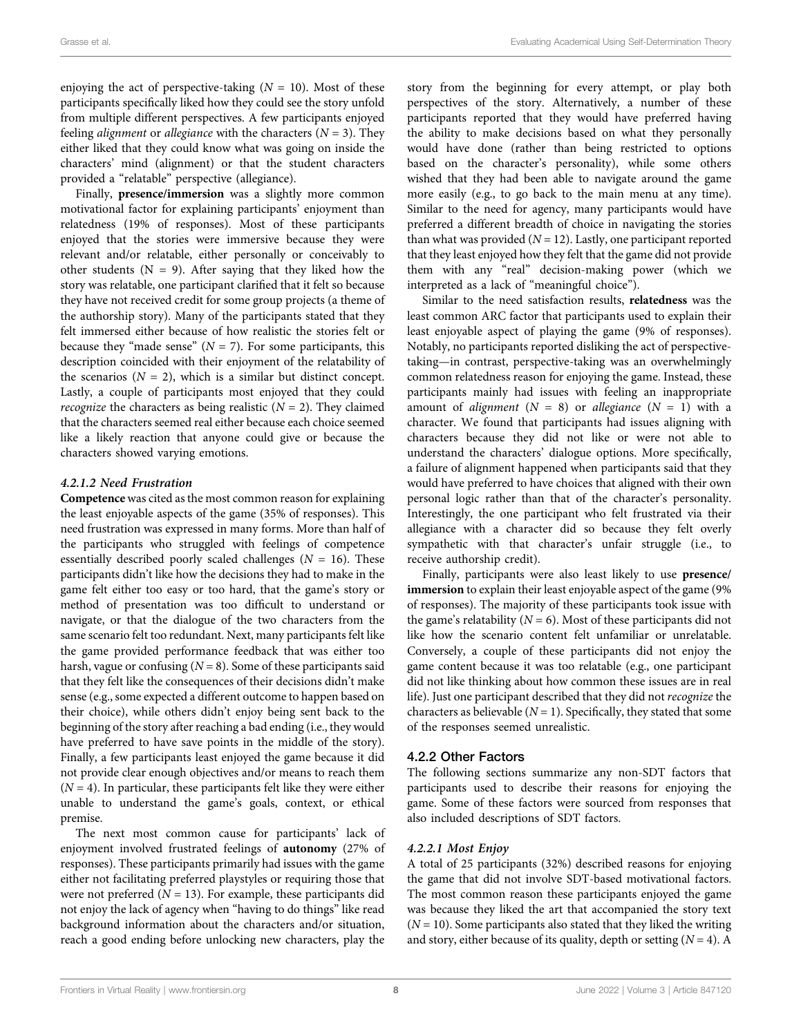enjoying the act of perspective-taking  $(N = 10)$ . Most of these participants specifically liked how they could see the story unfold from multiple different perspectives. A few participants enjoyed feeling *alignment* or *allegiance* with the characters  $(N = 3)$ . They either liked that they could know what was going on inside the characters' mind (alignment) or that the student characters provided a "relatable" perspective (allegiance).

Finally, presence/immersion was a slightly more common motivational factor for explaining participants' enjoyment than relatedness (19% of responses). Most of these participants enjoyed that the stories were immersive because they were relevant and/or relatable, either personally or conceivably to other students ( $N = 9$ ). After saying that they liked how the story was relatable, one participant clarified that it felt so because they have not received credit for some group projects (a theme of the authorship story). Many of the participants stated that they felt immersed either because of how realistic the stories felt or because they "made sense"  $(N = 7)$ . For some participants, this description coincided with their enjoyment of the relatability of the scenarios  $(N = 2)$ , which is a similar but distinct concept. Lastly, a couple of participants most enjoyed that they could *recognize* the characters as being realistic  $(N = 2)$ . They claimed that the characters seemed real either because each choice seemed like a likely reaction that anyone could give or because the characters showed varying emotions.

#### 4.2.1.2 Need Frustration

Competence was cited as the most common reason for explaining the least enjoyable aspects of the game (35% of responses). This need frustration was expressed in many forms. More than half of the participants who struggled with feelings of competence essentially described poorly scaled challenges ( $N = 16$ ). These participants didn't like how the decisions they had to make in the game felt either too easy or too hard, that the game's story or method of presentation was too difficult to understand or navigate, or that the dialogue of the two characters from the same scenario felt too redundant. Next, many participants felt like the game provided performance feedback that was either too harsh, vague or confusing  $(N = 8)$ . Some of these participants said that they felt like the consequences of their decisions didn't make sense (e.g., some expected a different outcome to happen based on their choice), while others didn't enjoy being sent back to the beginning of the story after reaching a bad ending (i.e., they would have preferred to have save points in the middle of the story). Finally, a few participants least enjoyed the game because it did not provide clear enough objectives and/or means to reach them  $(N = 4)$ . In particular, these participants felt like they were either unable to understand the game's goals, context, or ethical premise.

The next most common cause for participants' lack of enjoyment involved frustrated feelings of autonomy (27% of responses). These participants primarily had issues with the game either not facilitating preferred playstyles or requiring those that were not preferred ( $N = 13$ ). For example, these participants did not enjoy the lack of agency when "having to do things" like read background information about the characters and/or situation, reach a good ending before unlocking new characters, play the

story from the beginning for every attempt, or play both perspectives of the story. Alternatively, a number of these participants reported that they would have preferred having the ability to make decisions based on what they personally would have done (rather than being restricted to options based on the character's personality), while some others wished that they had been able to navigate around the game more easily (e.g., to go back to the main menu at any time). Similar to the need for agency, many participants would have preferred a different breadth of choice in navigating the stories than what was provided  $(N = 12)$ . Lastly, one participant reported that they least enjoyed how they felt that the game did not provide them with any "real" decision-making power (which we interpreted as a lack of "meaningful choice").

Similar to the need satisfaction results, relatedness was the least common ARC factor that participants used to explain their least enjoyable aspect of playing the game (9% of responses). Notably, no participants reported disliking the act of perspectivetaking—in contrast, perspective-taking was an overwhelmingly common relatedness reason for enjoying the game. Instead, these participants mainly had issues with feeling an inappropriate amount of *alignment* ( $N = 8$ ) or *allegiance* ( $N = 1$ ) with a character. We found that participants had issues aligning with characters because they did not like or were not able to understand the characters' dialogue options. More specifically, a failure of alignment happened when participants said that they would have preferred to have choices that aligned with their own personal logic rather than that of the character's personality. Interestingly, the one participant who felt frustrated via their allegiance with a character did so because they felt overly sympathetic with that character's unfair struggle (i.e., to receive authorship credit).

Finally, participants were also least likely to use presence/ immersion to explain their least enjoyable aspect of the game (9%) of responses). The majority of these participants took issue with the game's relatability ( $N = 6$ ). Most of these participants did not like how the scenario content felt unfamiliar or unrelatable. Conversely, a couple of these participants did not enjoy the game content because it was too relatable (e.g., one participant did not like thinking about how common these issues are in real life). Just one participant described that they did not recognize the characters as believable  $(N = 1)$ . Specifically, they stated that some of the responses seemed unrealistic.

#### 4.2.2 Other Factors

The following sections summarize any non-SDT factors that participants used to describe their reasons for enjoying the game. Some of these factors were sourced from responses that also included descriptions of SDT factors.

#### 4.2.2.1 Most Enjoy

A total of 25 participants (32%) described reasons for enjoying the game that did not involve SDT-based motivational factors. The most common reason these participants enjoyed the game was because they liked the art that accompanied the story text  $(N = 10)$ . Some participants also stated that they liked the writing and story, either because of its quality, depth or setting  $(N = 4)$ . A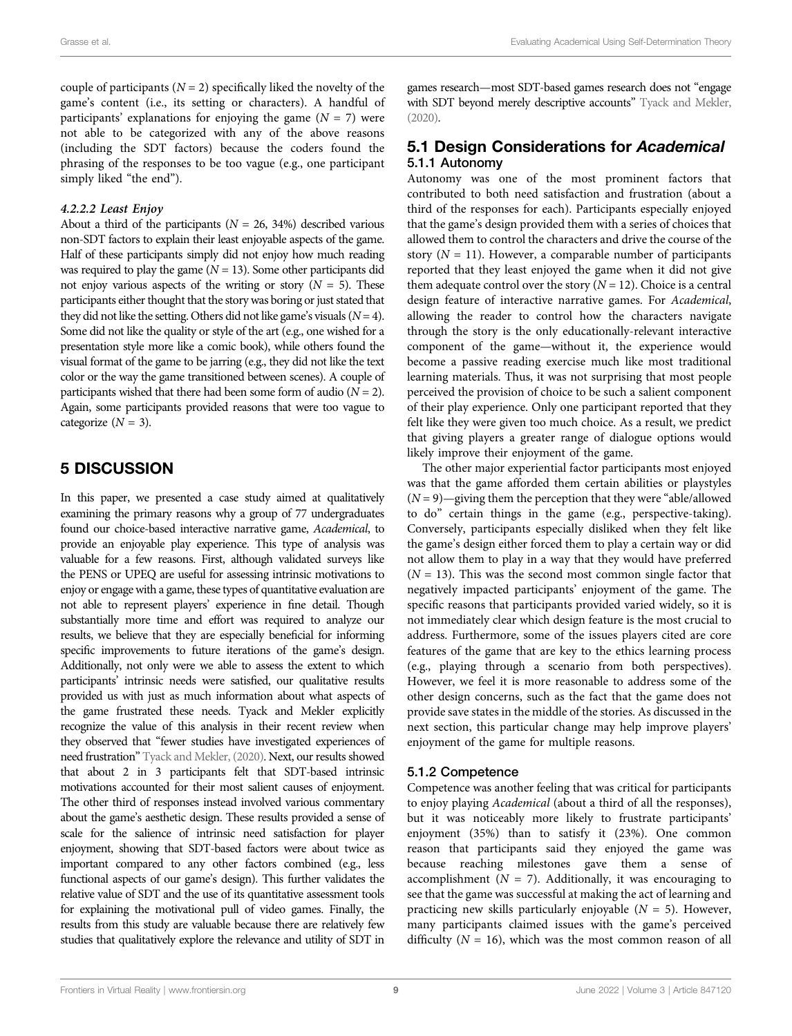couple of participants ( $N = 2$ ) specifically liked the novelty of the game's content (i.e., its setting or characters). A handful of participants' explanations for enjoying the game  $(N = 7)$  were not able to be categorized with any of the above reasons (including the SDT factors) because the coders found the phrasing of the responses to be too vague (e.g., one participant simply liked "the end").

#### 4.2.2.2 Least Enjoy

About a third of the participants ( $N = 26, 34\%$ ) described various non-SDT factors to explain their least enjoyable aspects of the game. Half of these participants simply did not enjoy how much reading was required to play the game  $(N = 13)$ . Some other participants did not enjoy various aspects of the writing or story  $(N = 5)$ . These participants either thought that the story was boring or just stated that they did not like the setting. Others did not like game's visuals  $(N = 4)$ . Some did not like the quality or style of the art (e.g., one wished for a presentation style more like a comic book), while others found the visual format of the game to be jarring (e.g., they did not like the text color or the way the game transitioned between scenes). A couple of participants wished that there had been some form of audio  $(N = 2)$ . Again, some participants provided reasons that were too vague to categorize  $(N = 3)$ .

### 5 DISCUSSION

In this paper, we presented a case study aimed at qualitatively examining the primary reasons why a group of 77 undergraduates found our choice-based interactive narrative game, Academical, to provide an enjoyable play experience. This type of analysis was valuable for a few reasons. First, although validated surveys like the PENS or UPEQ are useful for assessing intrinsic motivations to enjoy or engage with a game, these types of quantitative evaluation are not able to represent players' experience in fine detail. Though substantially more time and effort was required to analyze our results, we believe that they are especially beneficial for informing specific improvements to future iterations of the game's design. Additionally, not only were we able to assess the extent to which participants' intrinsic needs were satisfied, our qualitative results provided us with just as much information about what aspects of the game frustrated these needs. Tyack and Mekler explicitly recognize the value of this analysis in their recent review when they observed that "fewer studies have investigated experiences of need frustration" [Tyack and Mekler, \(2020\)](#page-13-5). Next, our results showed that about 2 in 3 participants felt that SDT-based intrinsic motivations accounted for their most salient causes of enjoyment. The other third of responses instead involved various commentary about the game's aesthetic design. These results provided a sense of scale for the salience of intrinsic need satisfaction for player enjoyment, showing that SDT-based factors were about twice as important compared to any other factors combined (e.g., less functional aspects of our game's design). This further validates the relative value of SDT and the use of its quantitative assessment tools for explaining the motivational pull of video games. Finally, the results from this study are valuable because there are relatively few studies that qualitatively explore the relevance and utility of SDT in

games research—most SDT-based games research does not "engage with SDT beyond merely descriptive accounts" [Tyack and Mekler,](#page-13-5) [\(2020\)](#page-13-5).

#### 5.1 Design Considerations for Academical 5.1.1 Autonomy

Autonomy was one of the most prominent factors that contributed to both need satisfaction and frustration (about a third of the responses for each). Participants especially enjoyed that the game's design provided them with a series of choices that allowed them to control the characters and drive the course of the story  $(N = 11)$ . However, a comparable number of participants reported that they least enjoyed the game when it did not give them adequate control over the story  $(N = 12)$ . Choice is a central design feature of interactive narrative games. For Academical, allowing the reader to control how the characters navigate through the story is the only educationally-relevant interactive component of the game—without it, the experience would become a passive reading exercise much like most traditional learning materials. Thus, it was not surprising that most people perceived the provision of choice to be such a salient component of their play experience. Only one participant reported that they felt like they were given too much choice. As a result, we predict that giving players a greater range of dialogue options would likely improve their enjoyment of the game.

The other major experiential factor participants most enjoyed was that the game afforded them certain abilities or playstyles  $(N = 9)$ —giving them the perception that they were "able/allowed" to do" certain things in the game (e.g., perspective-taking). Conversely, participants especially disliked when they felt like the game's design either forced them to play a certain way or did not allow them to play in a way that they would have preferred  $(N = 13)$ . This was the second most common single factor that negatively impacted participants' enjoyment of the game. The specific reasons that participants provided varied widely, so it is not immediately clear which design feature is the most crucial to address. Furthermore, some of the issues players cited are core features of the game that are key to the ethics learning process (e.g., playing through a scenario from both perspectives). However, we feel it is more reasonable to address some of the other design concerns, such as the fact that the game does not provide save states in the middle of the stories. As discussed in the next section, this particular change may help improve players' enjoyment of the game for multiple reasons.

#### 5.1.2 Competence

Competence was another feeling that was critical for participants to enjoy playing Academical (about a third of all the responses), but it was noticeably more likely to frustrate participants' enjoyment (35%) than to satisfy it (23%). One common reason that participants said they enjoyed the game was because reaching milestones gave them a sense of accomplishment ( $N = 7$ ). Additionally, it was encouraging to see that the game was successful at making the act of learning and practicing new skills particularly enjoyable  $(N = 5)$ . However, many participants claimed issues with the game's perceived difficulty ( $N = 16$ ), which was the most common reason of all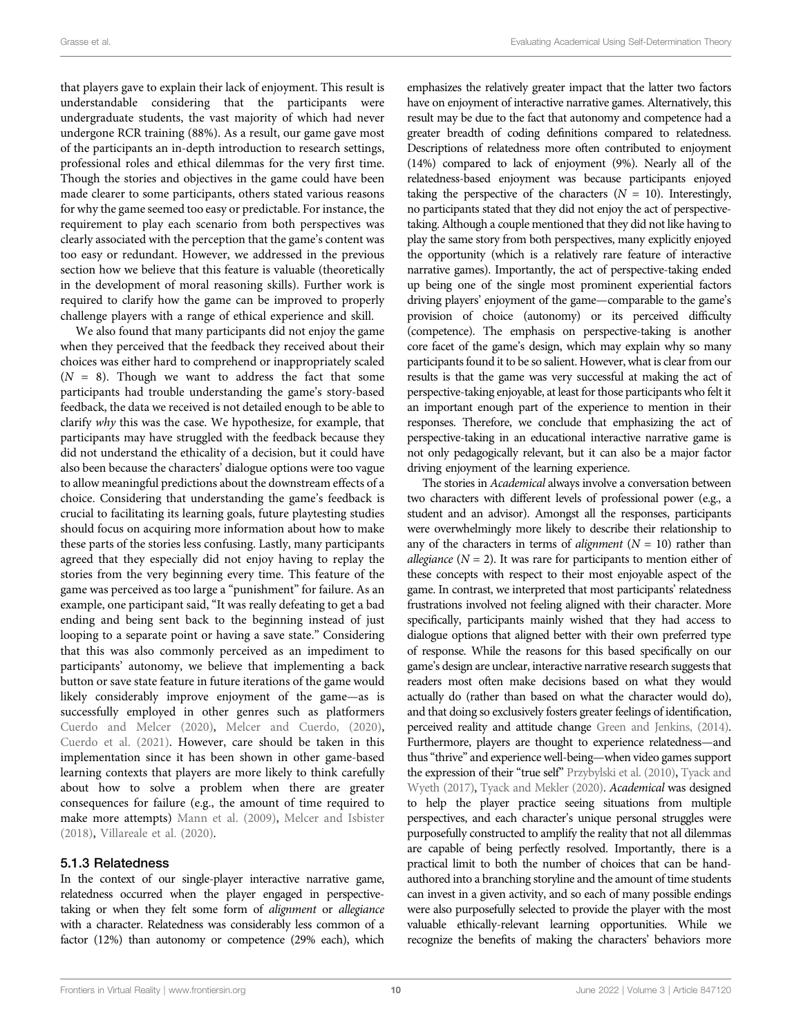that players gave to explain their lack of enjoyment. This result is understandable considering that the participants were undergraduate students, the vast majority of which had never undergone RCR training (88%). As a result, our game gave most of the participants an in-depth introduction to research settings, professional roles and ethical dilemmas for the very first time. Though the stories and objectives in the game could have been made clearer to some participants, others stated various reasons for why the game seemed too easy or predictable. For instance, the requirement to play each scenario from both perspectives was clearly associated with the perception that the game's content was too easy or redundant. However, we addressed in the previous section how we believe that this feature is valuable (theoretically in the development of moral reasoning skills). Further work is required to clarify how the game can be improved to properly challenge players with a range of ethical experience and skill.

We also found that many participants did not enjoy the game when they perceived that the feedback they received about their choices was either hard to comprehend or inappropriately scaled  $(N = 8)$ . Though we want to address the fact that some participants had trouble understanding the game's story-based feedback, the data we received is not detailed enough to be able to clarify why this was the case. We hypothesize, for example, that participants may have struggled with the feedback because they did not understand the ethicality of a decision, but it could have also been because the characters' dialogue options were too vague to allow meaningful predictions about the downstream effects of a choice. Considering that understanding the game's feedback is crucial to facilitating its learning goals, future playtesting studies should focus on acquiring more information about how to make these parts of the stories less confusing. Lastly, many participants agreed that they especially did not enjoy having to replay the stories from the very beginning every time. This feature of the game was perceived as too large a "punishment" for failure. As an example, one participant said, "It was really defeating to get a bad ending and being sent back to the beginning instead of just looping to a separate point or having a save state." Considering that this was also commonly perceived as an impediment to participants' autonomy, we believe that implementing a back button or save state feature in future iterations of the game would likely considerably improve enjoyment of the game—as is successfully employed in other genres such as platformers [Cuerdo and Melcer \(2020\)](#page-12-26), [Melcer and Cuerdo, \(2020\)](#page-12-27), [Cuerdo et al. \(2021\)](#page-12-28). However, care should be taken in this implementation since it has been shown in other game-based learning contexts that players are more likely to think carefully about how to solve a problem when there are greater consequences for failure (e.g., the amount of time required to make more attempts) [Mann et al. \(2009\),](#page-12-29) [Melcer and Isbister](#page-13-31) [\(2018\)](#page-13-31), [Villareale et al. \(2020\)](#page-13-32).

#### 5.1.3 Relatedness

In the context of our single-player interactive narrative game, relatedness occurred when the player engaged in perspectivetaking or when they felt some form of alignment or allegiance with a character. Relatedness was considerably less common of a factor (12%) than autonomy or competence (29% each), which emphasizes the relatively greater impact that the latter two factors have on enjoyment of interactive narrative games. Alternatively, this result may be due to the fact that autonomy and competence had a greater breadth of coding definitions compared to relatedness. Descriptions of relatedness more often contributed to enjoyment (14%) compared to lack of enjoyment (9%). Nearly all of the relatedness-based enjoyment was because participants enjoyed taking the perspective of the characters  $(N = 10)$ . Interestingly, no participants stated that they did not enjoy the act of perspectivetaking. Although a couple mentioned that they did not like having to play the same story from both perspectives, many explicitly enjoyed the opportunity (which is a relatively rare feature of interactive narrative games). Importantly, the act of perspective-taking ended up being one of the single most prominent experiential factors driving players' enjoyment of the game—comparable to the game's provision of choice (autonomy) or its perceived difficulty (competence). The emphasis on perspective-taking is another core facet of the game's design, which may explain why so many participants found it to be so salient. However, what is clear from our results is that the game was very successful at making the act of perspective-taking enjoyable, at least for those participants who felt it an important enough part of the experience to mention in their responses. Therefore, we conclude that emphasizing the act of perspective-taking in an educational interactive narrative game is not only pedagogically relevant, but it can also be a major factor driving enjoyment of the learning experience.

The stories in Academical always involve a conversation between two characters with different levels of professional power (e.g., a student and an advisor). Amongst all the responses, participants were overwhelmingly more likely to describe their relationship to any of the characters in terms of *alignment* ( $N = 10$ ) rather than allegiance ( $N = 2$ ). It was rare for participants to mention either of these concepts with respect to their most enjoyable aspect of the game. In contrast, we interpreted that most participants' relatedness frustrations involved not feeling aligned with their character. More specifically, participants mainly wished that they had access to dialogue options that aligned better with their own preferred type of response. While the reasons for this based specifically on our game's design are unclear, interactive narrative research suggests that readers most often make decisions based on what they would actually do (rather than based on what the character would do), and that doing so exclusively fosters greater feelings of identification, perceived reality and attitude change [Green and Jenkins, \(2014\).](#page-12-19) Furthermore, players are thought to experience relatedness—and thus"thrive" and experience well-being—when video games support the expression of their "true self" [Przybylski et al. \(2010\),](#page-13-30) [Tyack and](#page-13-25) [Wyeth \(2017\),](#page-13-25) [Tyack and Mekler \(2020\).](#page-13-5) Academical was designed to help the player practice seeing situations from multiple perspectives, and each character's unique personal struggles were purposefully constructed to amplify the reality that not all dilemmas are capable of being perfectly resolved. Importantly, there is a practical limit to both the number of choices that can be handauthored into a branching storyline and the amount of time students can invest in a given activity, and so each of many possible endings were also purposefully selected to provide the player with the most valuable ethically-relevant learning opportunities. While we recognize the benefits of making the characters' behaviors more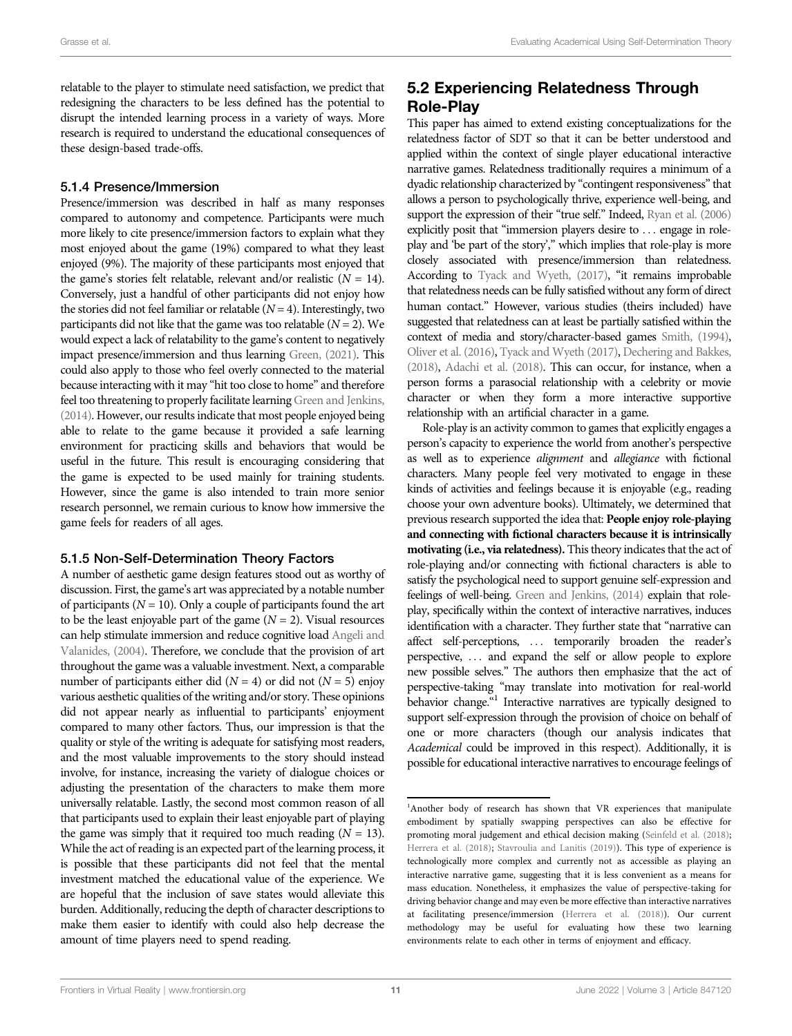relatable to the player to stimulate need satisfaction, we predict that redesigning the characters to be less defined has the potential to disrupt the intended learning process in a variety of ways. More research is required to understand the educational consequences of these design-based trade-offs.

#### 5.1.4 Presence/Immersion

Presence/immersion was described in half as many responses compared to autonomy and competence. Participants were much more likely to cite presence/immersion factors to explain what they most enjoyed about the game (19%) compared to what they least enjoyed (9%). The majority of these participants most enjoyed that the game's stories felt relatable, relevant and/or realistic  $(N = 14)$ . Conversely, just a handful of other participants did not enjoy how the stories did not feel familiar or relatable  $(N = 4)$ . Interestingly, two participants did not like that the game was too relatable  $(N = 2)$ . We would expect a lack of relatability to the game's content to negatively impact presence/immersion and thus learning [Green, \(2021\).](#page-12-30) This could also apply to those who feel overly connected to the material because interacting with it may "hit too close to home" and therefore feel too threatening to properly facilitate learning [Green and Jenkins,](#page-12-19) [\(2014\).](#page-12-19) However, our results indicate that most people enjoyed being able to relate to the game because it provided a safe learning environment for practicing skills and behaviors that would be useful in the future. This result is encouraging considering that the game is expected to be used mainly for training students. However, since the game is also intended to train more senior research personnel, we remain curious to know how immersive the game feels for readers of all ages.

#### 5.1.5 Non-Self-Determination Theory Factors

A number of aesthetic game design features stood out as worthy of discussion. First, the game's art was appreciated by a notable number of participants ( $N = 10$ ). Only a couple of participants found the art to be the least enjoyable part of the game  $(N = 2)$ . Visual resources can help stimulate immersion and reduce cognitive load [Angeli and](#page-12-31) [Valanides, \(2004\).](#page-12-31) Therefore, we conclude that the provision of art throughout the game was a valuable investment. Next, a comparable number of participants either did ( $N = 4$ ) or did not ( $N = 5$ ) enjoy various aesthetic qualities of the writing and/or story. These opinions did not appear nearly as influential to participants' enjoyment compared to many other factors. Thus, our impression is that the quality or style of the writing is adequate for satisfying most readers, and the most valuable improvements to the story should instead involve, for instance, increasing the variety of dialogue choices or adjusting the presentation of the characters to make them more universally relatable. Lastly, the second most common reason of all that participants used to explain their least enjoyable part of playing the game was simply that it required too much reading  $(N = 13)$ . While the act of reading is an expected part of the learning process, it is possible that these participants did not feel that the mental investment matched the educational value of the experience. We are hopeful that the inclusion of save states would alleviate this burden. Additionally, reducing the depth of character descriptions to make them easier to identify with could also help decrease the amount of time players need to spend reading.

# 5.2 Experiencing Relatedness Through Role-Play

This paper has aimed to extend existing conceptualizations for the relatedness factor of SDT so that it can be better understood and applied within the context of single player educational interactive narrative games. Relatedness traditionally requires a minimum of a dyadic relationship characterized by "contingent responsiveness" that allows a person to psychologically thrive, experience well-being, and support the expression of their "true self." Indeed, [Ryan et al. \(2006\)](#page-13-2) explicitly posit that "immersion players desire to ... engage in roleplay and 'be part of the story'," which implies that role-play is more closely associated with presence/immersion than relatedness. According to [Tyack and Wyeth, \(2017\),](#page-13-25) "it remains improbable that relatedness needs can be fully satisfied without any form of direct human contact." However, various studies (theirs included) have suggested that relatedness can at least be partially satisfied within the context of media and story/character-based games [Smith, \(1994\),](#page-13-23) [Oliver et al. \(2016\),](#page-13-21) [Tyack and Wyeth \(2017\)](#page-13-25), [Dechering and Bakkes,](#page-12-20) [\(2018\)](#page-12-20), [Adachi et al. \(2018\)](#page-12-21). This can occur, for instance, when a person forms a parasocial relationship with a celebrity or movie character or when they form a more interactive supportive relationship with an artificial character in a game.

Role-play is an activity common to games that explicitly engages a person's capacity to experience the world from another's perspective as well as to experience alignment and allegiance with fictional characters. Many people feel very motivated to engage in these kinds of activities and feelings because it is enjoyable (e.g., reading choose your own adventure books). Ultimately, we determined that previous research supported the idea that: People enjoy role-playing and connecting with fictional characters because it is intrinsically motivating (i.e., via relatedness). This theory indicates that the act of role-playing and/or connecting with fictional characters is able to satisfy the psychological need to support genuine self-expression and feelings of well-being. [Green and Jenkins, \(2014\)](#page-12-19) explain that roleplay, specifically within the context of interactive narratives, induces identification with a character. They further state that "narrative can affect self-perceptions, ... temporarily broaden the reader's perspective, ... and expand the self or allow people to explore new possible selves." The authors then emphasize that the act of perspective-taking "may translate into motivation for real-world behavior change.<sup>"1</sup> Interactive narratives are typically designed to support self-expression through the provision of choice on behalf of one or more characters (though our analysis indicates that Academical could be improved in this respect). Additionally, it is possible for educational interactive narratives to encourage feelings of

<sup>&</sup>lt;sup>1</sup>Another body of research has shown that VR experiences that manipulate embodiment by spatially swapping perspectives can also be effective for promoting moral judgement and ethical decision making [\(Seinfeld et al. \(2018\)](#page-13-33); [Herrera et al. \(2018\);](#page-12-32) [Stavroulia and Lanitis \(2019\)](#page-13-34)). This type of experience is technologically more complex and currently not as accessible as playing an interactive narrative game, suggesting that it is less convenient as a means for mass education. Nonetheless, it emphasizes the value of perspective-taking for driving behavior change and may even be more effective than interactive narratives at facilitating presence/immersion [\(Herrera et al. \(2018\)](#page-12-32)). Our current methodology may be useful for evaluating how these two learning environments relate to each other in terms of enjoyment and efficacy.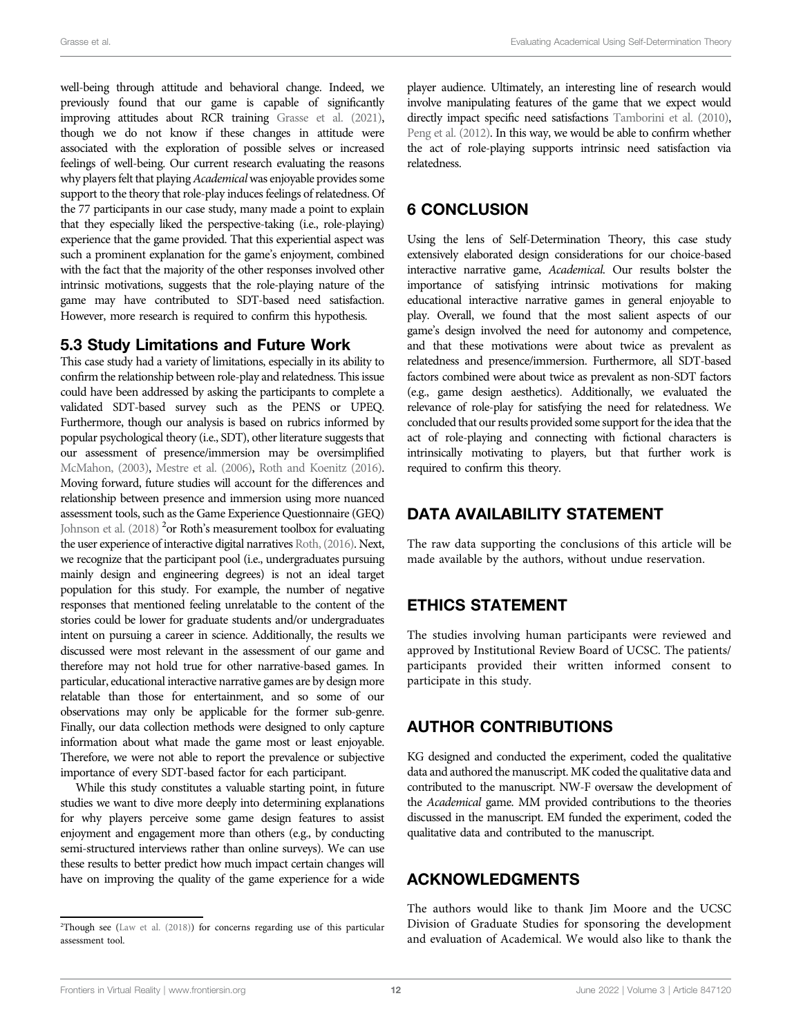well-being through attitude and behavioral change. Indeed, we previously found that our game is capable of significantly improving attitudes about RCR training [Grasse et al. \(2021\)](#page-12-25), though we do not know if these changes in attitude were associated with the exploration of possible selves or increased feelings of well-being. Our current research evaluating the reasons why players felt that playing Academical was enjoyable provides some support to the theory that role-play induces feelings of relatedness. Of the 77 participants in our case study, many made a point to explain that they especially liked the perspective-taking (i.e., role-playing) experience that the game provided. That this experiential aspect was such a prominent explanation for the game's enjoyment, combined with the fact that the majority of the other responses involved other intrinsic motivations, suggests that the role-playing nature of the game may have contributed to SDT-based need satisfaction. However, more research is required to confirm this hypothesis.

#### 5.3 Study Limitations and Future Work

This case study had a variety of limitations, especially in its ability to confirm the relationship between role-play and relatedness. This issue could have been addressed by asking the participants to complete a validated SDT-based survey such as the PENS or UPEQ. Furthermore, though our analysis is based on rubrics informed by popular psychological theory (i.e., SDT), other literature suggests that our assessment of presence/immersion may be oversimplified [McMahon, \(2003\),](#page-12-33) [Mestre et al. \(2006\),](#page-13-35) [Roth and Koenitz \(2016\)](#page-13-36). Moving forward, future studies will account for the differences and relationship between presence and immersion using more nuanced assessment tools, such as the Game Experience Questionnaire (GEQ) [Johnson et al. \(2018\)](#page-12-34) <sup>2</sup> or Roth's measurement toolbox for evaluating the user experience of interactive digital narratives [Roth, \(2016\)](#page-13-37). Next, we recognize that the participant pool (i.e., undergraduates pursuing mainly design and engineering degrees) is not an ideal target population for this study. For example, the number of negative responses that mentioned feeling unrelatable to the content of the stories could be lower for graduate students and/or undergraduates intent on pursuing a career in science. Additionally, the results we discussed were most relevant in the assessment of our game and therefore may not hold true for other narrative-based games. In particular, educational interactive narrative games are by design more relatable than those for entertainment, and so some of our observations may only be applicable for the former sub-genre. Finally, our data collection methods were designed to only capture information about what made the game most or least enjoyable. Therefore, we were not able to report the prevalence or subjective importance of every SDT-based factor for each participant.

While this study constitutes a valuable starting point, in future studies we want to dive more deeply into determining explanations for why players perceive some game design features to assist enjoyment and engagement more than others (e.g., by conducting semi-structured interviews rather than online surveys). We can use these results to better predict how much impact certain changes will have on improving the quality of the game experience for a wide

player audience. Ultimately, an interesting line of research would involve manipulating features of the game that we expect would directly impact specific need satisfactions [Tamborini et al. \(2010\),](#page-13-3) [Peng et al. \(2012\)](#page-13-4). In this way, we would be able to confirm whether the act of role-playing supports intrinsic need satisfaction via relatedness.

# 6 CONCLUSION

Using the lens of Self-Determination Theory, this case study extensively elaborated design considerations for our choice-based interactive narrative game, Academical. Our results bolster the importance of satisfying intrinsic motivations for making educational interactive narrative games in general enjoyable to play. Overall, we found that the most salient aspects of our game's design involved the need for autonomy and competence, and that these motivations were about twice as prevalent as relatedness and presence/immersion. Furthermore, all SDT-based factors combined were about twice as prevalent as non-SDT factors (e.g., game design aesthetics). Additionally, we evaluated the relevance of role-play for satisfying the need for relatedness. We concluded that our results provided some support for the idea that the act of role-playing and connecting with fictional characters is intrinsically motivating to players, but that further work is required to confirm this theory.

# DATA AVAILABILITY STATEMENT

The raw data supporting the conclusions of this article will be made available by the authors, without undue reservation.

# ETHICS STATEMENT

The studies involving human participants were reviewed and approved by Institutional Review Board of UCSC. The patients/ participants provided their written informed consent to participate in this study.

# AUTHOR CONTRIBUTIONS

KG designed and conducted the experiment, coded the qualitative data and authored the manuscript. MK coded the qualitative data and contributed to the manuscript. NW-F oversaw the development of the Academical game. MM provided contributions to the theories discussed in the manuscript. EM funded the experiment, coded the qualitative data and contributed to the manuscript.

# ACKNOWLEDGMENTS

The authors would like to thank Jim Moore and the UCSC Division of Graduate Studies for sponsoring the development and evaluation of Academical. We would also like to thank the

<sup>&</sup>lt;sup>2</sup>Though see ([Law et al. \(2018\)\)](#page-12-35) for concerns regarding use of this particular assessment tool.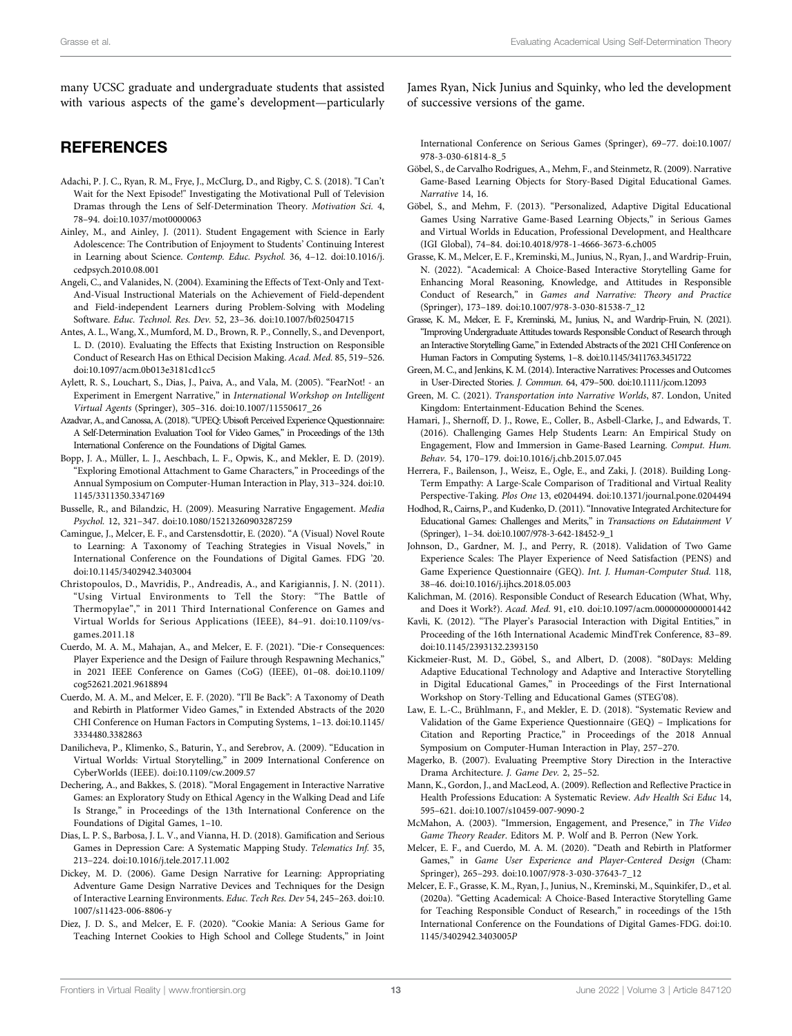many UCSC graduate and undergraduate students that assisted with various aspects of the game's development—particularly

# **REFERENCES**

- <span id="page-12-21"></span>Adachi, P. J. C., Ryan, R. M., Frye, J., McClurg, D., and Rigby, C. S. (2018). "I Can't Wait for the Next Episode!" Investigating the Motivational Pull of Television Dramas through the Lens of Self-Determination Theory. Motivation Sci. 4, 78–94. doi:[10.1037/mot0000063](https://doi.org/10.1037/mot0000063)
- <span id="page-12-4"></span>Ainley, M., and Ainley, J. (2011). Student Engagement with Science in Early Adolescence: The Contribution of Enjoyment to Students' Continuing Interest in Learning about Science. Contemp. Educ. Psychol. 36, 4–12. doi[:10.1016/j.](https://doi.org/10.1016/j.cedpsych.2010.08.001) [cedpsych.2010.08.001](https://doi.org/10.1016/j.cedpsych.2010.08.001)
- <span id="page-12-31"></span>Angeli, C., and Valanides, N. (2004). Examining the Effects of Text-Only and Text-And-Visual Instructional Materials on the Achievement of Field-dependent and Field-independent Learners during Problem-Solving with Modeling Software. Educ. Technol. Res. Dev. 52, 23–36. doi[:10.1007/bf02504715](https://doi.org/10.1007/bf02504715)
- <span id="page-12-1"></span>Antes, A. L., Wang, X., Mumford, M. D., Brown, R. P., Connelly, S., and Devenport, L. D. (2010). Evaluating the Effects that Existing Instruction on Responsible Conduct of Research Has on Ethical Decision Making. Acad. Med. 85, 519–526. doi:[10.1097/acm.0b013e3181cd1cc5](https://doi.org/10.1097/acm.0b013e3181cd1cc5)
- <span id="page-12-13"></span>Aylett, R. S., Louchart, S., Dias, J., Paiva, A., and Vala, M. (2005). "FearNot! - an Experiment in Emergent Narrative," in International Workshop on Intelligent Virtual Agents (Springer), 305–316. doi:[10.1007/11550617\\_26](https://doi.org/10.1007/11550617_26)
- <span id="page-12-6"></span>Azadvar, A., and Canossa, A. (2018)."UPEQ: Ubisoft Perceived Experience Qquestionnaire: A Self-Determination Evaluation Tool for Video Games," in Proceedings of the 13th International Conference on the Foundations of Digital Games.
- <span id="page-12-23"></span>Bopp, J. A., Müller, L. J., Aeschbach, L. F., Opwis, K., and Mekler, E. D. (2019). "Exploring Emotional Attachment to Game Characters," in Proceedings of the Annual Symposium on Computer-Human Interaction in Play, 313–324. doi[:10.](https://doi.org/10.1145/3311350.3347169) [1145/3311350.3347169](https://doi.org/10.1145/3311350.3347169)
- <span id="page-12-3"></span>Busselle, R., and Bilandzic, H. (2009). Measuring Narrative Engagement. Media Psychol. 12, 321–347. doi[:10.1080/15213260903287259](https://doi.org/10.1080/15213260903287259)
- <span id="page-12-9"></span>Camingue, J., Melcer, E. F., and Carstensdottir, E. (2020). "A (Visual) Novel Route to Learning: A Taxonomy of Teaching Strategies in Visual Novels," in International Conference on the Foundations of Digital Games. FDG '20. doi:[10.1145/3402942.3403004](https://doi.org/10.1145/3402942.3403004)
- <span id="page-12-12"></span>Christopoulos, D., Mavridis, P., Andreadis, A., and Karigiannis, J. N. (2011). "Using Virtual Environments to Tell the Story: "The Battle of Thermopylae"," in 2011 Third International Conference on Games and Virtual Worlds for Serious Applications (IEEE), 84–91. doi:[10.1109/vs](https://doi.org/10.1109/vs-games.2011.18)[games.2011.18](https://doi.org/10.1109/vs-games.2011.18)
- <span id="page-12-28"></span>Cuerdo, M. A. M., Mahajan, A., and Melcer, E. F. (2021). "Die-r Consequences: Player Experience and the Design of Failure through Respawning Mechanics," in 2021 IEEE Conference on Games (CoG) (IEEE), 01–08. doi:[10.1109/](https://doi.org/10.1109/cog52621.2021.9618894) [cog52621.2021.9618894](https://doi.org/10.1109/cog52621.2021.9618894)
- <span id="page-12-26"></span>Cuerdo, M. A. M., and Melcer, E. F. (2020). "I'll Be Back": A Taxonomy of Death and Rebirth in Platformer Video Games," in Extended Abstracts of the 2020 CHI Conference on Human Factors in Computing Systems, 1–13. doi:[10.1145/](https://doi.org/10.1145/3334480.3382863) [3334480.3382863](https://doi.org/10.1145/3334480.3382863)
- <span id="page-12-8"></span>Danilicheva, P., Klimenko, S., Baturin, Y., and Serebrov, A. (2009). "Education in Virtual Worlds: Virtual Storytelling," in 2009 International Conference on CyberWorlds (IEEE). doi:[10.1109/cw.2009.57](https://doi.org/10.1109/cw.2009.57)
- <span id="page-12-20"></span>Dechering, A., and Bakkes, S. (2018). "Moral Engagement in Interactive Narrative Games: an Exploratory Study on Ethical Agency in the Walking Dead and Life Is Strange," in Proceedings of the 13th International Conference on the Foundations of Digital Games, 1–10.
- <span id="page-12-7"></span>Dias, L. P. S., Barbosa, J. L. V., and Vianna, H. D. (2018). Gamification and Serious Games in Depression Care: A Systematic Mapping Study. Telematics Inf. 35, 213–224. doi:[10.1016/j.tele.2017.11.002](https://doi.org/10.1016/j.tele.2017.11.002)
- <span id="page-12-10"></span>Dickey, M. D. (2006). Game Design Narrative for Learning: Appropriating Adventure Game Design Narrative Devices and Techniques for the Design of Interactive Learning Environments. Educ. Tech Res. Dev 54, 245–263. doi[:10.](https://doi.org/10.1007/s11423-006-8806-y) [1007/s11423-006-8806-y](https://doi.org/10.1007/s11423-006-8806-y)
- <span id="page-12-18"></span>Diez, J. D. S., and Melcer, E. F. (2020). "Cookie Mania: A Serious Game for Teaching Internet Cookies to High School and College Students," in Joint

James Ryan, Nick Junius and Squinky, who led the development of successive versions of the game.

International Conference on Serious Games (Springer), 69–77. doi[:10.1007/](https://doi.org/10.1007/978-3-030-61814-8_5) [978-3-030-61814-8\\_5](https://doi.org/10.1007/978-3-030-61814-8_5)

- <span id="page-12-11"></span>Göbel, S., de Carvalho Rodrigues, A., Mehm, F., and Steinmetz, R. (2009). Narrative Game-Based Learning Objects for Story-Based Digital Educational Games. Narrative 14, 16.
- <span id="page-12-14"></span>Göbel, S., and Mehm, F. (2013). "Personalized, Adaptive Digital Educational Games Using Narrative Game-Based Learning Objects," in Serious Games and Virtual Worlds in Education, Professional Development, and Healthcare (IGI Global), 74–84. doi[:10.4018/978-1-4666-3673-6.ch005](https://doi.org/10.4018/978-1-4666-3673-6.ch005)
- <span id="page-12-0"></span>Grasse, K. M., Melcer, E. F., Kreminski, M., Junius, N., Ryan, J., and Wardrip-Fruin, N. (2022). "Academical: A Choice-Based Interactive Storytelling Game for Enhancing Moral Reasoning, Knowledge, and Attitudes in Responsible Conduct of Research," in Games and Narrative: Theory and Practice (Springer), 173–189. doi[:10.1007/978-3-030-81538-7\\_12](https://doi.org/10.1007/978-3-030-81538-7_12)
- <span id="page-12-25"></span>Grasse, K. M., Melcer, E. F., Kreminski, M., Junius, N., and Wardrip-Fruin, N. (2021). "Improving Undergraduate Attitudes towards Responsible Conduct of Research through an Interactive Storytelling Game,"in Extended Abstracts of the 2021 CHI Conference on Human Factors in Computing Systems, 1–8. doi[:10.1145/3411763.3451722](https://doi.org/10.1145/3411763.3451722)
- <span id="page-12-19"></span>Green, M. C., and Jenkins, K. M. (2014). Interactive Narratives: Processes and Outcomes in User-Directed Stories. J. Commun. 64, 479–500. doi[:10.1111/jcom.12093](https://doi.org/10.1111/jcom.12093)
- <span id="page-12-30"></span>Green, M. C. (2021). Transportation into Narrative Worlds, 87. London, United Kingdom: Entertainment-Education Behind the Scenes.
- <span id="page-12-5"></span>Hamari, J., Shernoff, D. J., Rowe, E., Coller, B., Asbell-Clarke, J., and Edwards, T. (2016). Challenging Games Help Students Learn: An Empirical Study on Engagement, Flow and Immersion in Game-Based Learning. Comput. Hum. Behav. 54, 170–179. doi[:10.1016/j.chb.2015.07.045](https://doi.org/10.1016/j.chb.2015.07.045)
- <span id="page-12-32"></span>Herrera, F., Bailenson, J., Weisz, E., Ogle, E., and Zaki, J. (2018). Building Long-Term Empathy: A Large-Scale Comparison of Traditional and Virtual Reality Perspective-Taking. Plos One 13, e0204494. doi:[10.1371/journal.pone.0204494](https://doi.org/10.1371/journal.pone.0204494)
- <span id="page-12-17"></span>Hodhod, R., Cairns, P., and Kudenko, D. (2011)."Innovative Integrated Architecture for Educational Games: Challenges and Merits," in Transactions on Edutainment V (Springer), 1–34. doi[:10.1007/978-3-642-18452-9\\_1](https://doi.org/10.1007/978-3-642-18452-9_1)
- <span id="page-12-34"></span>Johnson, D., Gardner, M. J., and Perry, R. (2018). Validation of Two Game Experience Scales: The Player Experience of Need Satisfaction (PENS) and Game Experience Questionnaire (GEQ). Int. J. Human-Computer Stud. 118, 38–46. doi:[10.1016/j.ijhcs.2018.05.003](https://doi.org/10.1016/j.ijhcs.2018.05.003)
- <span id="page-12-2"></span>Kalichman, M. (2016). Responsible Conduct of Research Education (What, Why, and Does it Work?). Acad. Med. 91, e10. doi:[10.1097/acm.0000000000001442](https://doi.org/10.1097/acm.0000000000001442)
- <span id="page-12-22"></span>Kavli, K. (2012). "The Player's Parasocial Interaction with Digital Entities," in Proceeding of the 16th International Academic MindTrek Conference, 83–89. doi[:10.1145/2393132.2393150](https://doi.org/10.1145/2393132.2393150)
- <span id="page-12-15"></span>Kickmeier-Rust, M. D., Göbel, S., and Albert, D. (2008). "80Days: Melding Adaptive Educational Technology and Adaptive and Interactive Storytelling in Digital Educational Games," in Proceedings of the First International Workshop on Story-Telling and Educational Games (STEG'08).
- <span id="page-12-35"></span>Law, E. L.-C., Brühlmann, F., and Mekler, E. D. (2018). "Systematic Review and Validation of the Game Experience Questionnaire (GEQ) – Implications for Citation and Reporting Practice," in Proceedings of the 2018 Annual Symposium on Computer-Human Interaction in Play, 257–270.
- <span id="page-12-16"></span>Magerko, B. (2007). Evaluating Preemptive Story Direction in the Interactive Drama Architecture. J. Game Dev. 2, 25–52.
- <span id="page-12-29"></span>Mann, K., Gordon, J., and MacLeod, A. (2009). Reflection and Reflective Practice in Health Professions Education: A Systematic Review. Adv Health Sci Educ 14, 595–621. doi:[10.1007/s10459-007-9090-2](https://doi.org/10.1007/s10459-007-9090-2)
- <span id="page-12-33"></span>McMahon, A. (2003). "Immersion, Engagement, and Presence," in The Video Game Theory Reader. Editors M. P. Wolf and B. Perron (New York.
- <span id="page-12-27"></span>Melcer, E. F., and Cuerdo, M. A. M. (2020). "Death and Rebirth in Platformer Games," in Game User Experience and Player-Centered Design (Cham: Springer), 265–293. doi:[10.1007/978-3-030-37643-7\\_12](https://doi.org/10.1007/978-3-030-37643-7_12)
- <span id="page-12-24"></span>Melcer, E. F., Grasse, K. M., Ryan, J., Junius, N., Kreminski, M., Squinkifer, D., et al. (2020a). "Getting Academical: A Choice-Based Interactive Storytelling Game for Teaching Responsible Conduct of Research," in roceedings of the 15th International Conference on the Foundations of Digital Games-FDG. doi[:10.](https://doi.org/10.1145/3402942.3403005) [1145/3402942.3403005](https://doi.org/10.1145/3402942.3403005)P